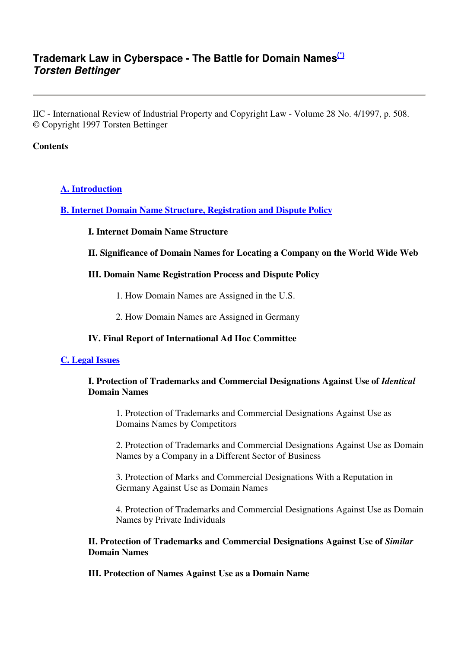## **Trademark Law in Cyberspace - The Battle for Domain Names(\*) Torsten Bettinger**

IIC - International Review of Industrial Property and Copyright Law - Volume 28 No. 4/1997, p. 508. © Copyright 1997 Torsten Bettinger

#### **Contents**

#### **A. Introduction**

**B. Internet Domain Name Structure, Registration and Dispute Policy**

#### **I. Internet Domain Name Structure**

#### **II. Significance of Domain Names for Locating a Company on the World Wide Web**

#### **III. Domain Name Registration Process and Dispute Policy**

- 1. How Domain Names are Assigned in the U.S.
- 2. How Domain Names are Assigned in Germany

#### **IV. Final Report of International Ad Hoc Committee**

#### **C. Legal Issues**

#### **I. Protection of Trademarks and Commercial Designations Against Use of** *Identical* **Domain Names**

1. Protection of Trademarks and Commercial Designations Against Use as Domains Names by Competitors

2. Protection of Trademarks and Commercial Designations Against Use as Domain Names by a Company in a Different Sector of Business

3. Protection of Marks and Commercial Designations With a Reputation in Germany Against Use as Domain Names

4. Protection of Trademarks and Commercial Designations Against Use as Domain Names by Private Individuals

#### **II. Protection of Trademarks and Commercial Designations Against Use of** *Similar* **Domain Names**

**III. Protection of Names Against Use as a Domain Name**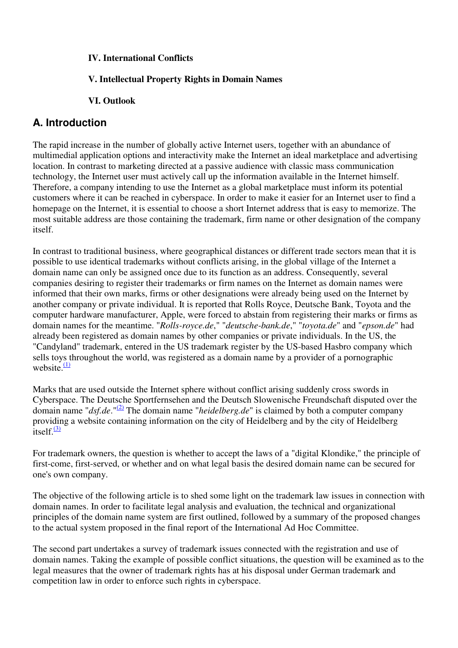#### **IV. International Conflicts**

#### **V. Intellectual Property Rights in Domain Names**

#### **VI. Outlook**

## **A. Introduction**

The rapid increase in the number of globally active Internet users, together with an abundance of multimedial application options and interactivity make the Internet an ideal marketplace and advertising location. In contrast to marketing directed at a passive audience with classic mass communication technology, the Internet user must actively call up the information available in the Internet himself. Therefore, a company intending to use the Internet as a global marketplace must inform its potential customers where it can be reached in cyberspace. In order to make it easier for an Internet user to find a homepage on the Internet, it is essential to choose a short Internet address that is easy to memorize. The most suitable address are those containing the trademark, firm name or other designation of the company itself.

In contrast to traditional business, where geographical distances or different trade sectors mean that it is possible to use identical trademarks without conflicts arising, in the global village of the Internet a domain name can only be assigned once due to its function as an address. Consequently, several companies desiring to register their trademarks or firm names on the Internet as domain names were informed that their own marks, firms or other designations were already being used on the Internet by another company or private individual. It is reported that Rolls Royce, Deutsche Bank, Toyota and the computer hardware manufacturer, Apple, were forced to abstain from registering their marks or firms as domain names for the meantime. "*Rolls-royce.de*," "*deutsche-bank.de*," "*toyota.de*" and "*epson.de*" had already been registered as domain names by other companies or private individuals. In the US, the "Candyland" trademark, entered in the US trademark register by the US-based Hasbro company which sells toys throughout the world, was registered as a domain name by a provider of a pornographic website. $\frac{(1)}{2}$ 

Marks that are used outside the Internet sphere without conflict arising suddenly cross swords in Cyberspace. The Deutsche Sportfernsehen and the Deutsch Slowenische Freundschaft disputed over the domain name "*dsf.de*."(2) The domain name "*heidelberg.de*" is claimed by both a computer company providing a website containing information on the city of Heidelberg and by the city of Heidelberg  $\frac{1}{1}$ itself. $\frac{(3)}{2}$ 

For trademark owners, the question is whether to accept the laws of a "digital Klondike," the principle of first-come, first-served, or whether and on what legal basis the desired domain name can be secured for one's own company.

The objective of the following article is to shed some light on the trademark law issues in connection with domain names. In order to facilitate legal analysis and evaluation, the technical and organizational principles of the domain name system are first outlined, followed by a summary of the proposed changes to the actual system proposed in the final report of the International Ad Hoc Committee.

The second part undertakes a survey of trademark issues connected with the registration and use of domain names. Taking the example of possible conflict situations, the question will be examined as to the legal measures that the owner of trademark rights has at his disposal under German trademark and competition law in order to enforce such rights in cyberspace.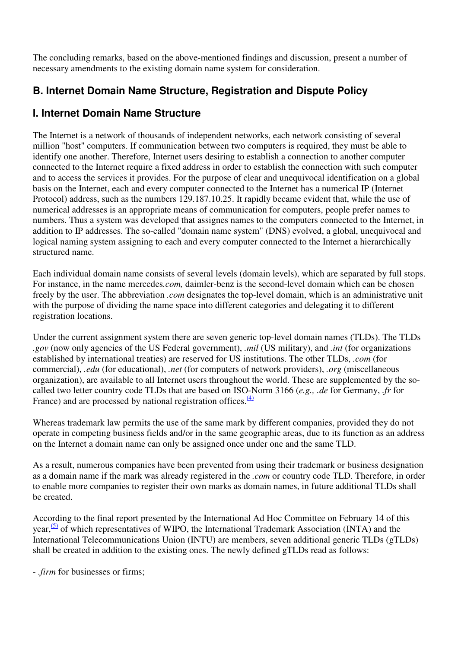The concluding remarks, based on the above-mentioned findings and discussion, present a number of necessary amendments to the existing domain name system for consideration.

# **B. Internet Domain Name Structure, Registration and Dispute Policy**

# **I. Internet Domain Name Structure**

The Internet is a network of thousands of independent networks, each network consisting of several million "host" computers. If communication between two computers is required, they must be able to identify one another. Therefore, Internet users desiring to establish a connection to another computer connected to the Internet require a fixed address in order to establish the connection with such computer and to access the services it provides. For the purpose of clear and unequivocal identification on a global basis on the Internet, each and every computer connected to the Internet has a numerical IP (Internet Protocol) address, such as the numbers 129.187.10.25. It rapidly became evident that, while the use of numerical addresses is an appropriate means of communication for computers, people prefer names to numbers. Thus a system was developed that assignes names to the computers connected to the Internet, in addition to IP addresses. The so-called "domain name system" (DNS) evolved, a global, unequivocal and logical naming system assigning to each and every computer connected to the Internet a hierarchically structured name.

Each individual domain name consists of several levels (domain levels), which are separated by full stops. For instance, in the name mercedes*.com,* daimler-benz is the second-level domain which can be chosen freely by the user. The abbreviation *.com* designates the top-level domain, which is an administrative unit with the purpose of dividing the name space into different categories and delegating it to different registration locations.

Under the current assignment system there are seven generic top-level domain names (TLDs). The TLDs *.gov* (now only agencies of the US Federal government), *.mil* (US military), and *.int* (for organizations established by international treaties) are reserved for US institutions. The other TLDs, *.com* (for commercial), *.edu* (for educational), *.net* (for computers of network providers), *.org* (miscellaneous organization), are available to all Internet users throughout the world. These are supplemented by the socalled two letter country code TLDs that are based on ISO-Norm 3166 (*e.g., .de* for Germany, *.fr* for France) and are processed by national registration offices. $\frac{(4)}{4}$ 

Whereas trademark law permits the use of the same mark by different companies, provided they do not operate in competing business fields and/or in the same geographic areas, due to its function as an address on the Internet a domain name can only be assigned once under one and the same TLD.

As a result, numerous companies have been prevented from using their trademark or business designation as a domain name if the mark was already registered in the *.com* or country code TLD. Therefore, in order to enable more companies to register their own marks as domain names, in future additional TLDs shall be created.

According to the final report presented by the International Ad Hoc Committee on February 14 of this year,<sup>(5)</sup> of which representatives of WIPO, the International Trademark Association (INTA) and the International Telecommunications Union (INTU) are members, seven additional generic TLDs (gTLDs) shall be created in addition to the existing ones. The newly defined gTLDs read as follows:

- *.firm* for businesses or firms;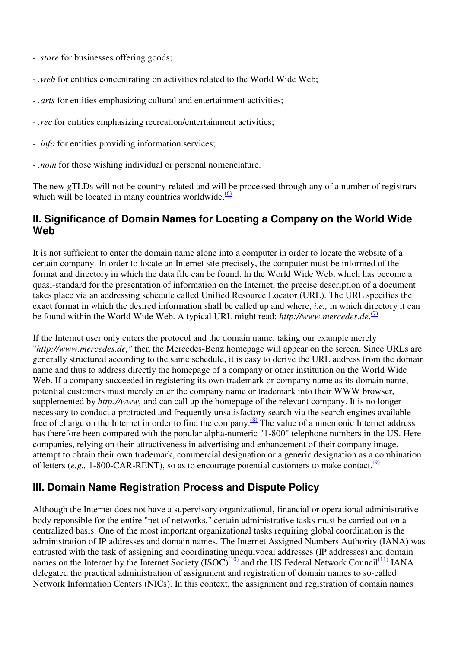- *.store* for businesses offering goods;
- *.web* for entities concentrating on activities related to the World Wide Web;
- *.arts* for entities emphasizing cultural and entertainment activities;
- *.rec* for entities emphasizing recreation/entertainment activities;
- *.info* for entities providing information services;
- *.nom* for those wishing individual or personal nomenclature.

The new gTLDs will not be country-related and will be processed through any of a number of registrars which will be located in many countries worldwide. $\frac{(6)}{6}$ 

## **II. Significance of Domain Names for Locating a Company on the World Wide Web**

It is not sufficient to enter the domain name alone into a computer in order to locate the website of a certain company. In order to locate an Internet site precisely, the computer must be informed of the format and directory in which the data file can be found. In the World Wide Web, which has become a quasi-standard for the presentation of information on the Internet, the precise description of a document takes place via an addressing schedule called Unified Resource Locator (URL). The URL specifies the exact format in which the desired information shall be called up and where, *i.e.,* in which directory it can be found within the World Wide Web. A typical URL might read: http://www.mercedes.de.<sup>(7)</sup>

If the Internet user only enters the protocol and the domain name, taking our example merely "*http://www.mercedes.de,"* then the Mercedes-Benz homepage will appear on the screen. Since URLs are generally structured according to the same schedule, it is easy to derive the URL address from the domain name and thus to address directly the homepage of a company or other institution on the World Wide Web. If a company succeeded in registering its own trademark or company name as its domain name, potential customers must merely enter the company name or trademark into their WWW browser, supplemented by *http://www,* and can call up the homepage of the relevant company. It is no longer necessary to conduct a protracted and frequently unsatisfactory search via the search engines available free of charge on the Internet in order to find the company.<sup>(8)</sup> The value of a mnemonic Internet address has therefore been compared with the popular alpha-numeric "1-800" telephone numbers in the US. Here companies, relying on their attractiveness in advertising and enhancement of their company image, attempt to obtain their own trademark, commercial designation or a generic designation as a combination of letters (e.g., 1-800-CAR-RENT), so as to encourage potential customers to make contact.<sup>(9)</sup>

# **III. Domain Name Registration Process and Dispute Policy**

Although the Internet does not have a supervisory organizational, financial or operational administrative body reponsible for the entire "net of networks," certain administrative tasks must be carried out on a centralized basis. One of the most important organizational tasks requiring global coordination is the administration of IP addresses and domain names. The Internet Assigned Numbers Authority (IANA) was entrusted with the task of assigning and coordinating unequivocal addresses (IP addresses) and domain names on the Internet by the Internet Society (ISOC) $(10)$  and the US Federal Network Council $(11)$  IANA delegated the practical administration of assignment and registration of domain names to so-called Network Information Centers (NICs). In this context, the assignment and registration of domain names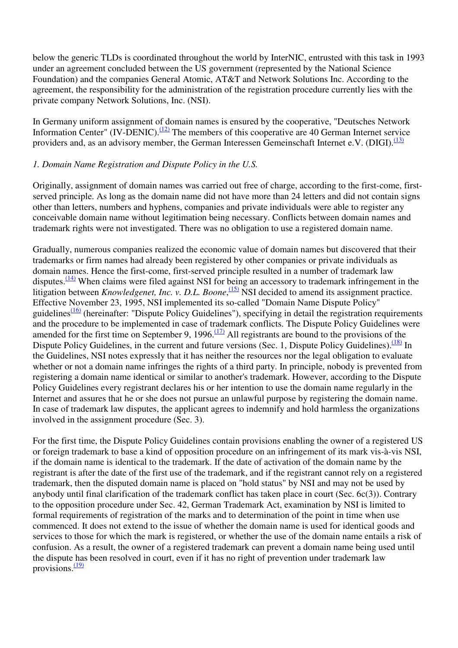below the generic TLDs is coordinated throughout the world by InterNIC, entrusted with this task in 1993 under an agreement concluded between the US government (represented by the National Science Foundation) and the companies General Atomic, AT&T and Network Solutions Inc. According to the agreement, the responsibility for the administration of the registration procedure currently lies with the private company Network Solutions, Inc. (NSI).

In Germany uniform assignment of domain names is ensured by the cooperative, "Deutsches Network Information Center" (IV-DENIC).<sup>(12)</sup> The members of this cooperative are 40 German Internet service providers and, as an advisory member, the German Interessen Gemeinschaft Internet e.V. (DIGI).<sup>(13)</sup>

#### *1. Domain Name Registration and Dispute Policy in the U.S.*

Originally, assignment of domain names was carried out free of charge, according to the first-come, firstserved principle. As long as the domain name did not have more than 24 letters and did not contain signs other than letters, numbers and hyphens, companies and private individuals were able to register any conceivable domain name without legitimation being necessary. Conflicts between domain names and trademark rights were not investigated. There was no obligation to use a registered domain name.

Gradually, numerous companies realized the economic value of domain names but discovered that their trademarks or firm names had already been registered by other companies or private individuals as domain names. Hence the first-come, first-served principle resulted in a number of trademark law disputes. $\frac{(14)}{(14)}$  When claims were filed against NSI for being an accessory to trademark infringement in the litigation between *Knowledgenet, Inc. v. D.L. Boone*, <sup>(15)</sup> NSI decided to amend its assignment practice. Effective November 23, 1995, NSI implemented its so-called "Domain Name Dispute Policy" guidelines $\frac{(16)}{(16)}$  (hereinafter: "Dispute Policy Guidelines"), specifying in detail the registration requirements and the procedure to be implemented in case of trademark conflicts. The Dispute Policy Guidelines were amended for the first time on September 9, 1996.<sup> $(17)$ </sup> All registrants are bound to the provisions of the Dispute Policy Guidelines, in the current and future versions (Sec. 1, Dispute Policy Guidelines).<sup>(18)</sup> In the Guidelines, NSI notes expressly that it has neither the resources nor the legal obligation to evaluate whether or not a domain name infringes the rights of a third party. In principle, nobody is prevented from registering a domain name identical or similar to another's trademark. However, according to the Dispute Policy Guidelines every registrant declares his or her intention to use the domain name regularly in the Internet and assures that he or she does not pursue an unlawful purpose by registering the domain name. In case of trademark law disputes, the applicant agrees to indemnify and hold harmless the organizations involved in the assignment procedure (Sec. 3).

For the first time, the Dispute Policy Guidelines contain provisions enabling the owner of a registered US or foreign trademark to base a kind of opposition procedure on an infringement of its mark vis-à-vis NSI, if the domain name is identical to the trademark. If the date of activation of the domain name by the registrant is after the date of the first use of the trademark, and if the registrant cannot rely on a registered trademark, then the disputed domain name is placed on "hold status" by NSI and may not be used by anybody until final clarification of the trademark conflict has taken place in court (Sec. 6c(3)). Contrary to the opposition procedure under Sec. 42, German Trademark Act, examination by NSI is limited to formal requirements of registration of the marks and to determination of the point in time when use commenced. It does not extend to the issue of whether the domain name is used for identical goods and services to those for which the mark is registered, or whether the use of the domain name entails a risk of confusion. As a result, the owner of a registered trademark can prevent a domain name being used until the dispute has been resolved in court, even if it has no right of prevention under trademark law provisions. $\frac{(19)}{2}$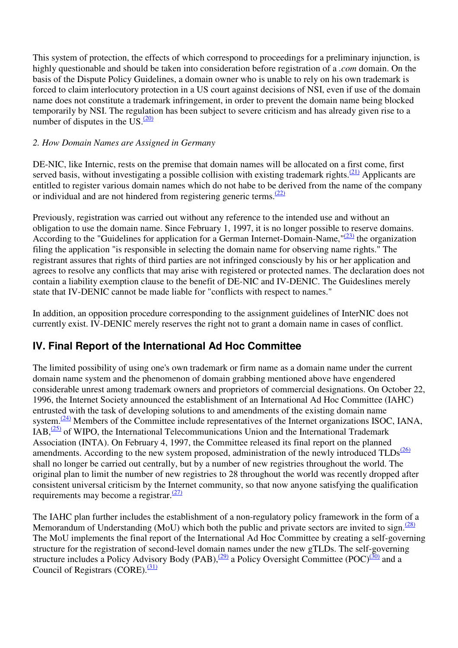This system of protection, the effects of which correspond to proceedings for a preliminary injunction, is highly questionable and should be taken into consideration before registration of a *.com* domain. On the basis of the Dispute Policy Guidelines, a domain owner who is unable to rely on his own trademark is forced to claim interlocutory protection in a US court against decisions of NSI, even if use of the domain name does not constitute a trademark infringement, in order to prevent the domain name being blocked temporarily by NSI. The regulation has been subject to severe criticism and has already given rise to a number of disputes in the US. $(20)$ 

#### *2. How Domain Names are Assigned in Germany*

DE-NIC, like Internic, rests on the premise that domain names will be allocated on a first come, first served basis, without investigating a possible collision with existing trademark rights.<sup>(21)</sup> Applicants are entitled to register various domain names which do not habe to be derived from the name of the company or individual and are not hindered from registering generic terms.<sup>(22)</sup>

Previously, registration was carried out without any reference to the intended use and without an obligation to use the domain name. Since February 1, 1997, it is no longer possible to reserve domains. According to the "Guidelines for application for a German Internet-Domain-Name,  $\frac{(23)}{23}$  the organization filing the application "is responsible in selecting the domain name for observing name rights." The registrant assures that rights of third parties are not infringed consciously by his or her application and agrees to resolve any conflicts that may arise with registered or protected names. The declaration does not contain a liability exemption clause to the benefit of DE-NIC and IV-DENIC. The Guideslines merely state that IV-DENIC cannot be made liable for "conflicts with respect to names."

In addition, an opposition procedure corresponding to the assignment guidelines of InterNIC does not currently exist. IV-DENIC merely reserves the right not to grant a domain name in cases of conflict.

# **IV. Final Report of the International Ad Hoc Committee**

The limited possibility of using one's own trademark or firm name as a domain name under the current domain name system and the phenomenon of domain grabbing mentioned above have engendered considerable unrest among trademark owners and proprietors of commercial designations. On October 22, 1996, the Internet Society announced the establishment of an International Ad Hoc Committee (IAHC) entrusted with the task of developing solutions to and amendments of the existing domain name system.<sup>(24)</sup> Members of the Committee include representatives of the Internet organizations ISOC, IANA,  $IAB$ ,  $\frac{(25)}{25}$  of WIPO, the International Telecommunications Union and the International Trademark Association (INTA). On February 4, 1997, the Committee released its final report on the planned amendments. According to the new system proposed, administration of the newly introduced  $TLDs^{(26)}$ shall no longer be carried out centrally, but by a number of new registries throughout the world. The original plan to limit the number of new registries to 28 throughout the world was recently dropped after consistent universal criticism by the Internet community, so that now anyone satisfying the qualification requirements may become a registrar. $(27)$ 

The IAHC plan further includes the establishment of a non-regulatory policy framework in the form of a Memorandum of Understanding (MoU) which both the public and private sectors are invited to sign. $\frac{(28)}{28}$ The MoU implements the final report of the International Ad Hoc Committee by creating a self-governing structure for the registration of second-level domain names under the new gTLDs. The self-governing structure includes a Policy Advisory Body (PAB),  $\frac{(29)}{2}$  a Policy Oversight Committee (POC) $\frac{(30)}{30}$  and a Council of Registrars (CORE). $\frac{(31)}{2}$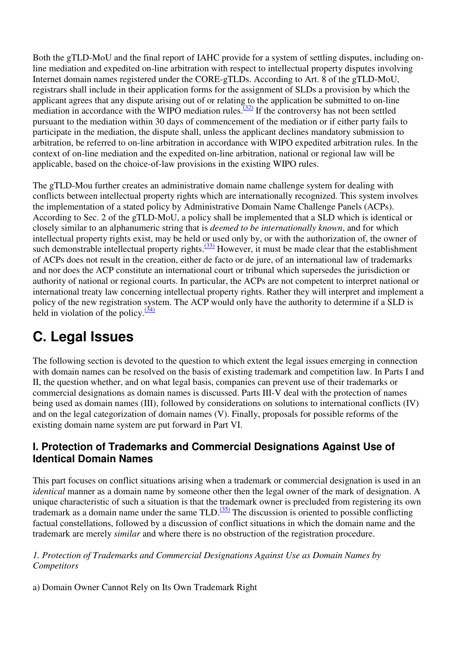Both the gTLD-MoU and the final report of IAHC provide for a system of settling disputes, including online mediation and expedited on-line arbitration with respect to intellectual property disputes involving Internet domain names registered under the CORE-gTLDs. According to Art. 8 of the gTLD-MoU, registrars shall include in their application forms for the assignment of SLDs a provision by which the applicant agrees that any dispute arising out of or relating to the application be submitted to on-line mediation in accordance with the WIPO mediation rules.<sup> $(32)$ </sup> If the controversy has not been settled pursuant to the mediation within 30 days of commencement of the mediation or if either party fails to participate in the mediation, the dispute shall, unless the applicant declines mandatory submission to arbitration, be referred to on-line arbitration in accordance with WIPO expedited arbitration rules. In the context of on-line mediation and the expedited on-line arbitration, national or regional law will be applicable, based on the choice-of-law provisions in the existing WIPO rules.

The gTLD-Mou further creates an administrative domain name challenge system for dealing with conflicts between intellectual property rights which are internationally recognized. This system involves the implementation of a stated policy by Administrative Domain Name Challenge Panels (ACPs). According to Sec. 2 of the gTLD-MoU, a policy shall be implemented that a SLD which is identical or closely similar to an alphanumeric string that is *deemed to be internationally known*, and for which intellectual property rights exist, may be held or used only by, or with the authorization of, the owner of such demonstrable intellectual property rights. $\frac{(33)}{2}$  However, it must be made clear that the establishment of ACPs does not result in the creation, either de facto or de jure, of an international law of trademarks and nor does the ACP constitute an international court or tribunal which supersedes the jurisdiction or authority of national or regional courts. In particular, the ACPs are not competent to interpret national or international treaty law concerning intellectual property rights. Rather they will interpret and implement a policy of the new registration system. The ACP would only have the authority to determine if a SLD is held in violation of the policy. $\frac{(34)}{2}$ 

# **C. Legal Issues**

The following section is devoted to the question to which extent the legal issues emerging in connection with domain names can be resolved on the basis of existing trademark and competition law. In Parts I and II, the question whether, and on what legal basis, companies can prevent use of their trademarks or commercial designations as domain names is discussed. Parts III-V deal with the protection of names being used as domain names (III), followed by considerations on solutions to international conflicts (IV) and on the legal categorization of domain names (V). Finally, proposals for possible reforms of the existing domain name system are put forward in Part VI.

## **I. Protection of Trademarks and Commercial Designations Against Use of Identical Domain Names**

This part focuses on conflict situations arising when a trademark or commercial designation is used in an *identical* manner as a domain name by someone other then the legal owner of the mark of designation. A unique characteristic of such a situation is that the trademark owner is precluded from registering its own trademark as a domain name under the same TLD.<sup>(35)</sup> The discussion is oriented to possible conflicting factual constellations, followed by a discussion of conflict situations in which the domain name and the trademark are merely *similar* and where there is no obstruction of the registration procedure.

#### *1. Protection of Trademarks and Commercial Designations Against Use as Domain Names by Competitors*

a) Domain Owner Cannot Rely on Its Own Trademark Right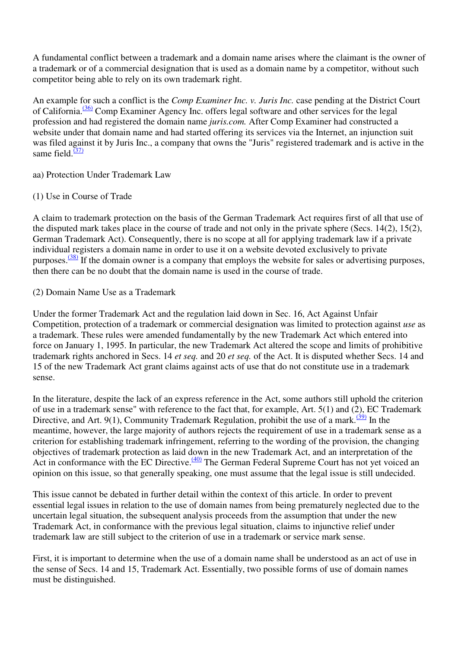A fundamental conflict between a trademark and a domain name arises where the claimant is the owner of a trademark or of a commercial designation that is used as a domain name by a competitor, without such competitor being able to rely on its own trademark right.

An example for such a conflict is the *Comp Examiner Inc. v. Juris Inc.* case pending at the District Court of California.<sup>(36)</sup> Comp Examiner Agency Inc. offers legal software and other services for the legal profession and had registered the domain name *juris.com.* After Comp Examiner had constructed a website under that domain name and had started offering its services via the Internet, an injunction suit was filed against it by Juris Inc., a company that owns the "Juris" registered trademark and is active in the same field. $\frac{(37)}{2}$ 

aa) Protection Under Trademark Law

#### (1) Use in Course of Trade

A claim to trademark protection on the basis of the German Trademark Act requires first of all that use of the disputed mark takes place in the course of trade and not only in the private sphere (Secs. 14(2), 15(2), German Trademark Act). Consequently, there is no scope at all for applying trademark law if a private individual registers a domain name in order to use it on a website devoted exclusively to private purposes.<sup>(38)</sup> If the domain owner is a company that employs the website for sales or advertising purposes, then there can be no doubt that the domain name is used in the course of trade.

(2) Domain Name Use as a Trademark

Under the former Trademark Act and the regulation laid down in Sec. 16, Act Against Unfair Competition, protection of a trademark or commercial designation was limited to protection against *use* as a trademark. These rules were amended fundamentally by the new Trademark Act which entered into force on January 1, 1995. In particular, the new Trademark Act altered the scope and limits of prohibitive trademark rights anchored in Secs. 14 *et seq.* and 20 *et seq.* of the Act. It is disputed whether Secs. 14 and 15 of the new Trademark Act grant claims against acts of use that do not constitute use in a trademark sense.

In the literature, despite the lack of an express reference in the Act, some authors still uphold the criterion of use in a trademark sense" with reference to the fact that, for example, Art. 5(1) and (2), EC Trademark Directive, and Art. 9(1), Community Trademark Regulation, prohibit the use of a mark.<sup> $(39)$ </sup> In the meantime, however, the large majority of authors rejects the requirement of use in a trademark sense as a criterion for establishing trademark infringement, referring to the wording of the provision, the changing objectives of trademark protection as laid down in the new Trademark Act, and an interpretation of the Act in conformance with the EC Directive. $\frac{(40)}{ }$  The German Federal Supreme Court has not yet voiced an opinion on this issue, so that generally speaking, one must assume that the legal issue is still undecided.

This issue cannot be debated in further detail within the context of this article. In order to prevent essential legal issues in relation to the use of domain names from being prematurely neglected due to the uncertain legal situation, the subsequent analysis proceeds from the assumption that under the new Trademark Act, in conformance with the previous legal situation, claims to injunctive relief under trademark law are still subject to the criterion of use in a trademark or service mark sense.

First, it is important to determine when the use of a domain name shall be understood as an act of use in the sense of Secs. 14 and 15, Trademark Act. Essentially, two possible forms of use of domain names must be distinguished.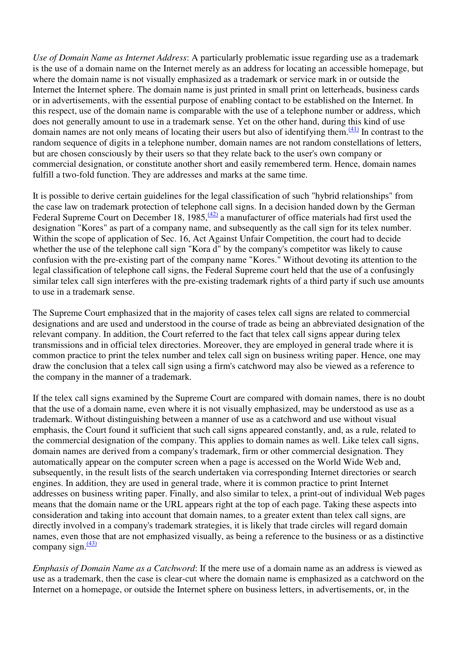*Use of Domain Name as Internet Address*: A particularly problematic issue regarding use as a trademark is the use of a domain name on the Internet merely as an address for locating an accessible homepage, but where the domain name is not visually emphasized as a trademark or service mark in or outside the Internet the Internet sphere. The domain name is just printed in small print on letterheads, business cards or in advertisements, with the essential purpose of enabling contact to be established on the Internet. In this respect, use of the domain name is comparable with the use of a telephone number or address, which does not generally amount to use in a trademark sense. Yet on the other hand, during this kind of use domain names are not only means of locating their users but also of identifying them. $\frac{(41)}{(41)}$  In contrast to the random sequence of digits in a telephone number, domain names are not random constellations of letters, but are chosen consciously by their users so that they relate back to the user's own company or commercial designation, or constitute another short and easily remembered term. Hence, domain names fulfill a two-fold function. They are addresses and marks at the same time.

It is possible to derive certain guidelines for the legal classification of such "hybrid relationships" from the case law on trademark protection of telephone call signs. In a decision handed down by the German Federal Supreme Court on December 18, 1985,  $\frac{(42)}{2}$  a manufacturer of office materials had first used the designation "Kores" as part of a company name, and subsequently as the call sign for its telex number. Within the scope of application of Sec. 16, Act Against Unfair Competition, the court had to decide whether the use of the telephone call sign "Kora d" by the company's competitor was likely to cause confusion with the pre-existing part of the company name "Kores." Without devoting its attention to the legal classification of telephone call signs, the Federal Supreme court held that the use of a confusingly similar telex call sign interferes with the pre-existing trademark rights of a third party if such use amounts to use in a trademark sense.

The Supreme Court emphasized that in the majority of cases telex call signs are related to commercial designations and are used and understood in the course of trade as being an abbreviated designation of the relevant company. In addition, the Court referred to the fact that telex call signs appear during telex transmissions and in official telex directories. Moreover, they are employed in general trade where it is common practice to print the telex number and telex call sign on business writing paper. Hence, one may draw the conclusion that a telex call sign using a firm's catchword may also be viewed as a reference to the company in the manner of a trademark.

If the telex call signs examined by the Supreme Court are compared with domain names, there is no doubt that the use of a domain name, even where it is not visually emphasized, may be understood as use as a trademark. Without distinguishing between a manner of use as a catchword and use without visual emphasis, the Court found it sufficient that such call signs appeared constantly, and, as a rule, related to the commercial designation of the company. This applies to domain names as well. Like telex call signs, domain names are derived from a company's trademark, firm or other commercial designation. They automatically appear on the computer screen when a page is accessed on the World Wide Web and, subsequently, in the result lists of the search undertaken via corresponding Internet directories or search engines. In addition, they are used in general trade, where it is common practice to print Internet addresses on business writing paper. Finally, and also similar to telex, a print-out of individual Web pages means that the domain name or the URL appears right at the top of each page. Taking these aspects into consideration and taking into account that domain names, to a greater extent than telex call signs, are directly involved in a company's trademark strategies, it is likely that trade circles will regard domain names, even those that are not emphasized visually, as being a reference to the business or as a distinctive company sign. $\frac{(43)}{2}$ 

*Emphasis of Domain Name as a Catchword*: If the mere use of a domain name as an address is viewed as use as a trademark, then the case is clear-cut where the domain name is emphasized as a catchword on the Internet on a homepage, or outside the Internet sphere on business letters, in advertisements, or, in the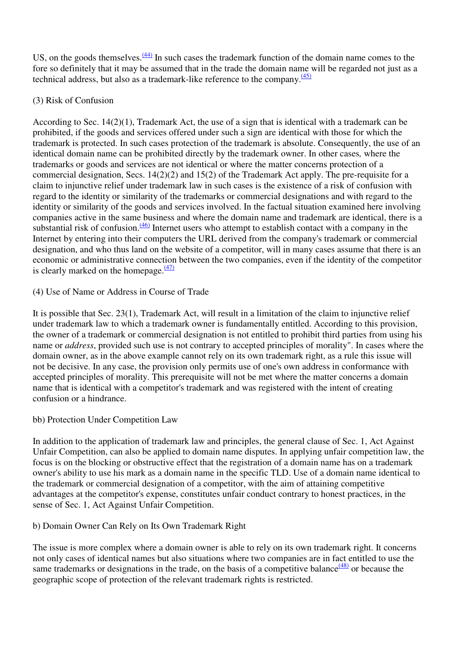US, on the goods themselves.  $\frac{(44)}{1}$  In such cases the trademark function of the domain name comes to the fore so definitely that it may be assumed that in the trade the domain name will be regarded not just as a technical address, but also as a trademark-like reference to the company. $\frac{(45)}{2}$ 

#### (3) Risk of Confusion

According to Sec. 14(2)(1), Trademark Act, the use of a sign that is identical with a trademark can be prohibited, if the goods and services offered under such a sign are identical with those for which the trademark is protected. In such cases protection of the trademark is absolute. Consequently, the use of an identical domain name can be prohibited directly by the trademark owner. In other cases*,* where the trademarks or goods and services are not identical or where the matter concerns protection of a commercial designation, Secs. 14(2)(2) and 15(2) of the Trademark Act apply. The pre-requisite for a claim to injunctive relief under trademark law in such cases is the existence of a risk of confusion with regard to the identity or similarity of the trademarks or commercial designations and with regard to the identity or similarity of the goods and services involved. In the factual situation examined here involving companies active in the same business and where the domain name and trademark are identical, there is a substantial risk of confusion. $\frac{(46)}{10}$  Internet users who attempt to establish contact with a company in the Internet by entering into their computers the URL derived from the company's trademark or commercial designation, and who thus land on the website of a competitor, will in many cases assume that there is an economic or administrative connection between the two companies, even if the identity of the competitor is clearly marked on the homepage. $\frac{(47)}{4}$ 

(4) Use of Name or Address in Course of Trade

It is possible that Sec. 23(1), Trademark Act, will result in a limitation of the claim to injunctive relief under trademark law to which a trademark owner is fundamentally entitled. According to this provision, the owner of a trademark or commercial designation is not entitled to prohibit third parties from using his name or *address*, provided such use is not contrary to accepted principles of morality". In cases where the domain owner, as in the above example cannot rely on its own trademark right, as a rule this issue will not be decisive. In any case, the provision only permits use of one's own address in conformance with accepted principles of morality. This prerequisite will not be met where the matter concerns a domain name that is identical with a competitor's trademark and was registered with the intent of creating confusion or a hindrance.

#### bb) Protection Under Competition Law

In addition to the application of trademark law and principles, the general clause of Sec. 1, Act Against Unfair Competition, can also be applied to domain name disputes. In applying unfair competition law, the focus is on the blocking or obstructive effect that the registration of a domain name has on a trademark owner's ability to use his mark as a domain name in the specific TLD. Use of a domain name identical to the trademark or commercial designation of a competitor, with the aim of attaining competitive advantages at the competitor's expense, constitutes unfair conduct contrary to honest practices, in the sense of Sec. 1, Act Against Unfair Competition.

b) Domain Owner Can Rely on Its Own Trademark Right

The issue is more complex where a domain owner is able to rely on its own trademark right. It concerns not only cases of identical names but also situations where two companies are in fact entitled to use the same trademarks or designations in the trade, on the basis of a competitive balance  $\frac{(48)}{3}$  or because the geographic scope of protection of the relevant trademark rights is restricted.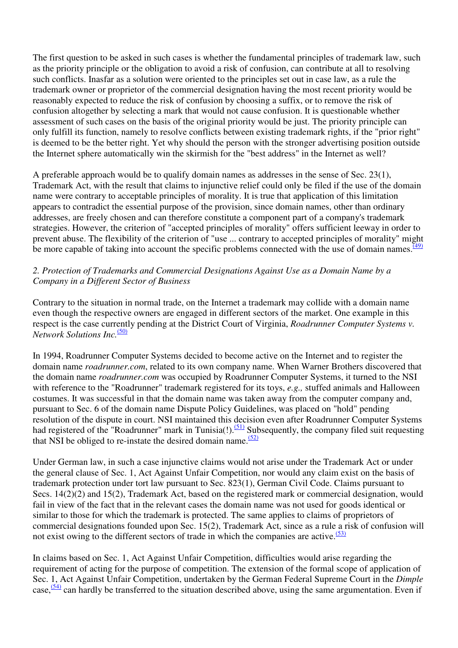The first question to be asked in such cases is whether the fundamental principles of trademark law, such as the priority principle or the obligation to avoid a risk of confusion, can contribute at all to resolving such conflicts. Inasfar as a solution were oriented to the principles set out in case law, as a rule the trademark owner or proprietor of the commercial designation having the most recent priority would be reasonably expected to reduce the risk of confusion by choosing a suffix, or to remove the risk of confusion altogether by selecting a mark that would not cause confusion. It is questionable whether assessment of such cases on the basis of the original priority would be just. The priority principle can only fulfill its function, namely to resolve conflicts between existing trademark rights, if the "prior right" is deemed to be the better right. Yet why should the person with the stronger advertising position outside the Internet sphere automatically win the skirmish for the "best address" in the Internet as well?

A preferable approach would be to qualify domain names as addresses in the sense of Sec. 23(1), Trademark Act, with the result that claims to injunctive relief could only be filed if the use of the domain name were contrary to acceptable principles of morality. It is true that application of this limitation appears to contradict the essential purpose of the provision, since domain names, other than ordinary addresses, are freely chosen and can therefore constitute a component part of a company's trademark strategies. However, the criterion of "accepted principles of morality" offers sufficient leeway in order to prevent abuse. The flexibility of the criterion of "use ... contrary to accepted principles of morality" might be more capable of taking into account the specific problems connected with the use of domain names. $\frac{(49)}{(49)}$ 

#### *2. Protection of Trademarks and Commercial Designations Against Use as a Domain Name by a Company in a Different Sector of Business*

Contrary to the situation in normal trade, on the Internet a trademark may collide with a domain name even though the respective owners are engaged in different sectors of the market. One example in this respect is the case currently pending at the District Court of Virginia, *Roadrunner Computer Systems v. Network Solutions Inc.*(50)

In 1994, Roadrunner Computer Systems decided to become active on the Internet and to register the domain name *roadrunner.com*, related to its own company name. When Warner Brothers discovered that the domain name *roadrunner.com* was occupied by Roadrunner Computer Systems, it turned to the NSI with reference to the "Roadrunner" trademark registered for its toys, *e.g.,* stuffed animals and Halloween costumes. It was successful in that the domain name was taken away from the computer company and, pursuant to Sec. 6 of the domain name Dispute Policy Guidelines, was placed on "hold" pending resolution of the dispute in court. NSI maintained this decision even after Roadrunner Computer Systems had registered of the "Roadrunner" mark in Tunisia(!).<sup>(51)</sup> Subsequently, the company filed suit requesting that NSI be obliged to re-instate the desired domain name.  $(52)$ 

Under German law, in such a case injunctive claims would not arise under the Trademark Act or under the general clause of Sec. 1, Act Against Unfair Competition, nor would any claim exist on the basis of trademark protection under tort law pursuant to Sec. 823(1), German Civil Code. Claims pursuant to Secs. 14(2)(2) and 15(2), Trademark Act, based on the registered mark or commercial designation, would fail in view of the fact that in the relevant cases the domain name was not used for goods identical or similar to those for which the trademark is protected. The same applies to claims of proprietors of commercial designations founded upon Sec. 15(2), Trademark Act, since as a rule a risk of confusion will not exist owing to the different sectors of trade in which the companies are active. $(53)$ 

In claims based on Sec. 1, Act Against Unfair Competition, difficulties would arise regarding the requirement of acting for the purpose of competition. The extension of the formal scope of application of Sec. 1, Act Against Unfair Competition, undertaken by the German Federal Supreme Court in the *Dimple* case,<sup>(54)</sup> can hardly be transferred to the situation described above, using the same argumentation. Even if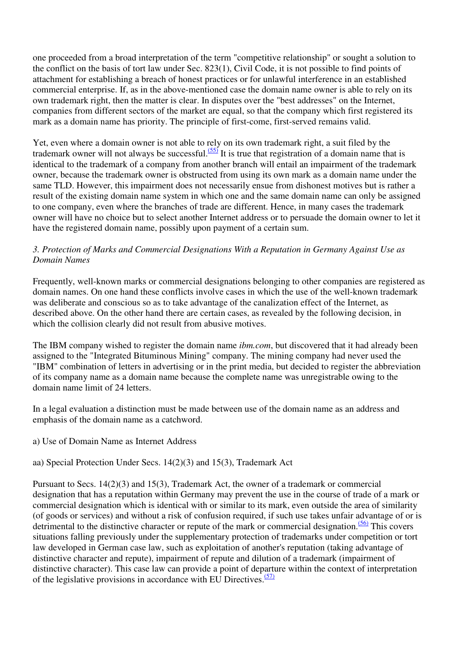one proceeded from a broad interpretation of the term "competitive relationship" or sought a solution to the conflict on the basis of tort law under Sec. 823(1), Civil Code, it is not possible to find points of attachment for establishing a breach of honest practices or for unlawful interference in an established commercial enterprise. If, as in the above-mentioned case the domain name owner is able to rely on its own trademark right, then the matter is clear. In disputes over the "best addresses" on the Internet, companies from different sectors of the market are equal, so that the company which first registered its mark as a domain name has priority. The principle of first-come, first-served remains valid.

Yet, even where a domain owner is not able to rely on its own trademark right, a suit filed by the trademark owner will not always be successful.<sup> $(55)$ </sup> It is true that registration of a domain name that is identical to the trademark of a company from another branch will entail an impairment of the trademark owner, because the trademark owner is obstructed from using its own mark as a domain name under the same TLD. However, this impairment does not necessarily ensue from dishonest motives but is rather a result of the existing domain name system in which one and the same domain name can only be assigned to one company, even where the branches of trade are different. Hence, in many cases the trademark owner will have no choice but to select another Internet address or to persuade the domain owner to let it have the registered domain name, possibly upon payment of a certain sum.

#### *3. Protection of Marks and Commercial Designations With a Reputation in Germany Against Use as Domain Names*

Frequently, well-known marks or commercial designations belonging to other companies are registered as domain names. On one hand these conflicts involve cases in which the use of the well-known trademark was deliberate and conscious so as to take advantage of the canalization effect of the Internet, as described above. On the other hand there are certain cases, as revealed by the following decision, in which the collision clearly did not result from abusive motives.

The IBM company wished to register the domain name *ibm.com*, but discovered that it had already been assigned to the "Integrated Bituminous Mining" company. The mining company had never used the "IBM" combination of letters in advertising or in the print media, but decided to register the abbreviation of its company name as a domain name because the complete name was unregistrable owing to the domain name limit of 24 letters.

In a legal evaluation a distinction must be made between use of the domain name as an address and emphasis of the domain name as a catchword.

a) Use of Domain Name as Internet Address

aa) Special Protection Under Secs. 14(2)(3) and 15(3), Trademark Act

Pursuant to Secs. 14(2)(3) and 15(3), Trademark Act, the owner of a trademark or commercial designation that has a reputation within Germany may prevent the use in the course of trade of a mark or commercial designation which is identical with or similar to its mark, even outside the area of similarity (of goods or services) and without a risk of confusion required, if such use takes unfair advantage of or is detrimental to the distinctive character or repute of the mark or commercial designation.<sup> $(56)$ </sup> This covers situations falling previously under the supplementary protection of trademarks under competition or tort law developed in German case law, such as exploitation of another's reputation (taking advantage of distinctive character and repute), impairment of repute and dilution of a trademark (impairment of distinctive character). This case law can provide a point of departure within the context of interpretation of the legislative provisions in accordance with EU Directives.<sup>(57)</sup>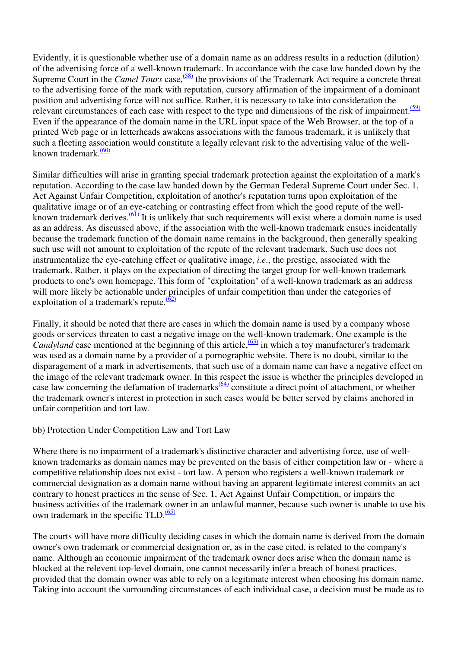Evidently, it is questionable whether use of a domain name as an address results in a reduction (dilution) of the advertising force of a well-known trademark. In accordance with the case law handed down by the Supreme Court in the *Camel Tours* case,<sup>(58)</sup> the provisions of the Trademark Act require a concrete threat to the advertising force of the mark with reputation, cursory affirmation of the impairment of a dominant position and advertising force will not suffice. Rather, it is necessary to take into consideration the relevant circumstances of each case with respect to the type and dimensions of the risk of impairment. $(59)$ Even if the appearance of the domain name in the URL input space of the Web Browser, at the top of a printed Web page or in letterheads awakens associations with the famous trademark, it is unlikely that such a fleeting association would constitute a legally relevant risk to the advertising value of the wellknown trademark.<sup>(60)</sup>

Similar difficulties will arise in granting special trademark protection against the exploitation of a mark's reputation. According to the case law handed down by the German Federal Supreme Court under Sec. 1, Act Against Unfair Competition, exploitation of another's reputation turns upon exploitation of the qualitative image or of an eye-catching or contrasting effect from which the good repute of the wellknown trademark derives.<sup>(61)</sup> It is unlikely that such requirements will exist where a domain name is used as an address. As discussed above, if the association with the well-known trademark ensues incidentally because the trademark function of the domain name remains in the background, then generally speaking such use will not amount to exploitation of the repute of the relevant trademark. Such use does not instrumentalize the eye-catching effect or qualitative image, *i.e*., the prestige, associated with the trademark. Rather, it plays on the expectation of directing the target group for well-known trademark products to one's own homepage. This form of "exploitation" of a well-known trademark as an address will more likely be actionable under principles of unfair competition than under the categories of exploitation of a trademark's repute. $\frac{(62)}{2}$ 

Finally, it should be noted that there are cases in which the domain name is used by a company whose goods or services threaten to cast a negative image on the well-known trademark. One example is the *Candyland* case mentioned at the beginning of this article,  $\frac{(63)}{2}$  in which a toy manufacturer's trademark was used as a domain name by a provider of a pornographic website. There is no doubt, similar to the disparagement of a mark in advertisements, that such use of a domain name can have a negative effect on the image of the relevant trademark owner. In this respect the issue is whether the principles developed in case law concerning the defamation of trademarks $\frac{(64)}{2}$  constitute a direct point of attachment, or whether the trademark owner's interest in protection in such cases would be better served by claims anchored in unfair competition and tort law.

#### bb) Protection Under Competition Law and Tort Law

Where there is no impairment of a trademark's distinctive character and advertising force, use of wellknown trademarks as domain names may be prevented on the basis of either competition law or - where a competitive relationship does not exist - tort law. A person who registers a well-known trademark or commercial designation as a domain name without having an apparent legitimate interest commits an act contrary to honest practices in the sense of Sec. 1, Act Against Unfair Competition, or impairs the business activities of the trademark owner in an unlawful manner, because such owner is unable to use his own trademark in the specific TLD. $(65)$ 

The courts will have more difficulty deciding cases in which the domain name is derived from the domain owner's own trademark or commercial designation or, as in the case cited, is related to the company's name. Although an economic impairment of the trademark owner does arise when the domain name is blocked at the relevent top-level domain, one cannot necessarily infer a breach of honest practices, provided that the domain owner was able to rely on a legitimate interest when choosing his domain name. Taking into account the surrounding circumstances of each individual case, a decision must be made as to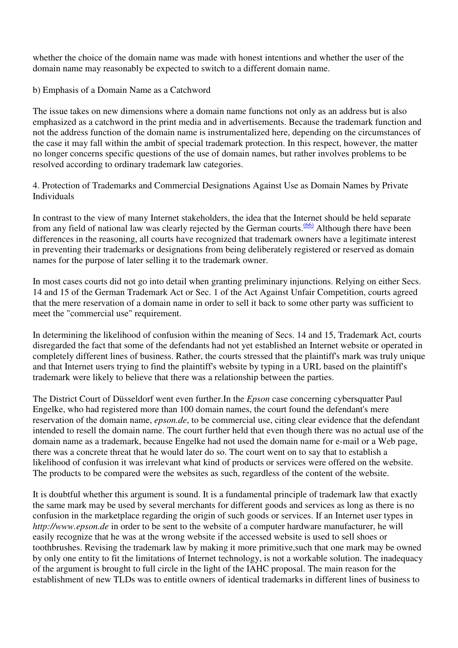whether the choice of the domain name was made with honest intentions and whether the user of the domain name may reasonably be expected to switch to a different domain name.

b) Emphasis of a Domain Name as a Catchword

The issue takes on new dimensions where a domain name functions not only as an address but is also emphasized as a catchword in the print media and in advertisements. Because the trademark function and not the address function of the domain name is instrumentalized here, depending on the circumstances of the case it may fall within the ambit of special trademark protection. In this respect, however, the matter no longer concerns specific questions of the use of domain names, but rather involves problems to be resolved according to ordinary trademark law categories.

4. Protection of Trademarks and Commercial Designations Against Use as Domain Names by Private Individuals

In contrast to the view of many Internet stakeholders, the idea that the Internet should be held separate from any field of national law was clearly rejected by the German courts.<sup>(66)</sup> Although there have been differences in the reasoning, all courts have recognized that trademark owners have a legitimate interest in preventing their trademarks or designations from being deliberately registered or reserved as domain names for the purpose of later selling it to the trademark owner.

In most cases courts did not go into detail when granting preliminary injunctions. Relying on either Secs. 14 and 15 of the German Trademark Act or Sec. 1 of the Act Against Unfair Competition, courts agreed that the mere reservation of a domain name in order to sell it back to some other party was sufficient to meet the "commercial use" requirement.

In determining the likelihood of confusion within the meaning of Secs. 14 and 15, Trademark Act, courts disregarded the fact that some of the defendants had not yet established an Internet website or operated in completely different lines of business. Rather, the courts stressed that the plaintiff's mark was truly unique and that Internet users trying to find the plaintiff's website by typing in a URL based on the plaintiff's trademark were likely to believe that there was a relationship between the parties.

The District Court of Düsseldorf went even further.In the *Epson* case concerning cybersquatter Paul Engelke, who had registered more than 100 domain names, the court found the defendant's mere reservation of the domain name, *epson.de*, to be commercial use, citing clear evidence that the defendant intended to resell the domain name. The court further held that even though there was no actual use of the domain name as a trademark, because Engelke had not used the domain name for e-mail or a Web page, there was a concrete threat that he would later do so. The court went on to say that to establish a likelihood of confusion it was irrelevant what kind of products or services were offered on the website. The products to be compared were the websites as such, regardless of the content of the website.

It is doubtful whether this argument is sound. It is a fundamental principle of trademark law that exactly the same mark may be used by several merchants for different goods and services as long as there is no confusion in the marketplace regarding the origin of such goods or services. If an Internet user types in *http://www.epson.de* in order to be sent to the website of a computer hardware manufacturer, he will easily recognize that he was at the wrong website if the accessed website is used to sell shoes or toothbrushes. Revising the trademark law by making it more primitive,such that one mark may be owned by only one entity to fit the limitations of Internet technology, is not a workable solution. The inadequacy of the argument is brought to full circle in the light of the IAHC proposal. The main reason for the establishment of new TLDs was to entitle owners of identical trademarks in different lines of business to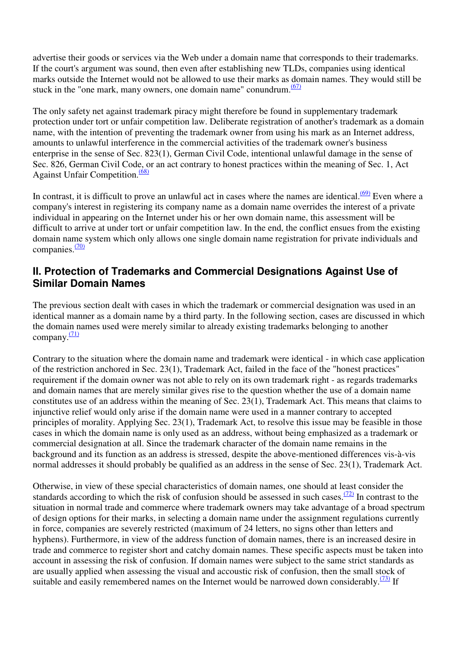advertise their goods or services via the Web under a domain name that corresponds to their trademarks. If the court's argument was sound, then even after establishing new TLDs, companies using identical marks outside the Internet would not be allowed to use their marks as domain names. They would still be stuck in the "one mark, many owners, one domain name" conundrum. $(67)$ 

The only safety net against trademark piracy might therefore be found in supplementary trademark protection under tort or unfair competition law. Deliberate registration of another's trademark as a domain name, with the intention of preventing the trademark owner from using his mark as an Internet address, amounts to unlawful interference in the commercial activities of the trademark owner's business enterprise in the sense of Sec. 823(1), German Civil Code, intentional unlawful damage in the sense of Sec. 826, German Civil Code, or an act contrary to honest practices within the meaning of Sec. 1, Act Against Unfair Competition.<sup>(68)</sup>

In contrast, it is difficult to prove an unlawful act in cases where the names are identical. $(69)$  Even where a company's interest in registering its company name as a domain name overrides the interest of a private individual in appearing on the Internet under his or her own domain name, this assessment will be difficult to arrive at under tort or unfair competition law. In the end, the conflict ensues from the existing domain name system which only allows one single domain name registration for private individuals and companies.<sup>(70)</sup>

### **II. Protection of Trademarks and Commercial Designations Against Use of Similar Domain Names**

The previous section dealt with cases in which the trademark or commercial designation was used in an identical manner as a domain name by a third party. In the following section, cases are discussed in which the domain names used were merely similar to already existing trademarks belonging to another company. $\frac{(71)}{2}$ 

Contrary to the situation where the domain name and trademark were identical - in which case application of the restriction anchored in Sec. 23(1), Trademark Act, failed in the face of the "honest practices" requirement if the domain owner was not able to rely on its own trademark right - as regards trademarks and domain names that are merely similar gives rise to the question whether the use of a domain name constitutes use of an address within the meaning of Sec. 23(1), Trademark Act. This means that claims to injunctive relief would only arise if the domain name were used in a manner contrary to accepted principles of morality. Applying Sec. 23(1), Trademark Act, to resolve this issue may be feasible in those cases in which the domain name is only used as an address, without being emphasized as a trademark or commercial designation at all. Since the trademark character of the domain name remains in the background and its function as an address is stressed, despite the above-mentioned differences vis-à-vis normal addresses it should probably be qualified as an address in the sense of Sec. 23(1), Trademark Act.

Otherwise, in view of these special characteristics of domain names, one should at least consider the standards according to which the risk of confusion should be assessed in such cases. $(72)$  In contrast to the situation in normal trade and commerce where trademark owners may take advantage of a broad spectrum of design options for their marks, in selecting a domain name under the assignment regulations currently in force, companies are severely restricted (maximum of 24 letters, no signs other than letters and hyphens). Furthermore, in view of the address function of domain names, there is an increased desire in trade and commerce to register short and catchy domain names. These specific aspects must be taken into account in assessing the risk of confusion. If domain names were subject to the same strict standards as are usually applied when assessing the visual and accoustic risk of confusion, then the small stock of suitable and easily remembered names on the Internet would be narrowed down considerably.<sup> $(73)$ </sup> If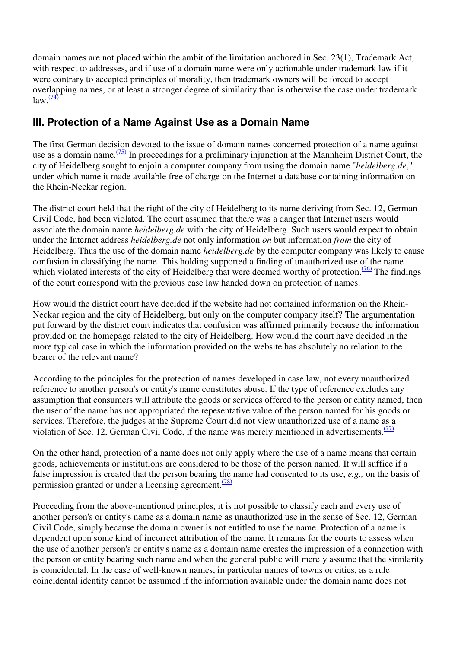domain names are not placed within the ambit of the limitation anchored in Sec. 23(1), Trademark Act, with respect to addresses, and if use of a domain name were only actionable under trademark law if it were contrary to accepted principles of morality, then trademark owners will be forced to accept overlapping names, or at least a stronger degree of similarity than is otherwise the case under trademark  $law.$  $\frac{(74)}{4}$ 

# **III. Protection of a Name Against Use as a Domain Name**

The first German decision devoted to the issue of domain names concerned protection of a name against use as a domain name. $\frac{(75)}{10}$  In proceedings for a preliminary injunction at the Mannheim District Court, the city of Heidelberg sought to enjoin a computer company from using the domain name "*heidelberg.de*," under which name it made available free of charge on the Internet a database containing information on the Rhein-Neckar region.

The district court held that the right of the city of Heidelberg to its name deriving from Sec. 12, German Civil Code, had been violated. The court assumed that there was a danger that Internet users would associate the domain name *heidelberg.de* with the city of Heidelberg. Such users would expect to obtain under the Internet address *heidelberg.de* not only information *on* but information *from* the city of Heidelberg. Thus the use of the domain name *heidelberg.de* by the computer company was likely to cause confusion in classifying the name. This holding supported a finding of unauthorized use of the name which violated interests of the city of Heidelberg that were deemed worthy of protection.<sup> $(76)$ </sup> The findings of the court correspond with the previous case law handed down on protection of names.

How would the district court have decided if the website had not contained information on the Rhein-Neckar region and the city of Heidelberg, but only on the computer company itself? The argumentation put forward by the district court indicates that confusion was affirmed primarily because the information provided on the homepage related to the city of Heidelberg. How would the court have decided in the more typical case in which the information provided on the website has absolutely no relation to the bearer of the relevant name?

According to the principles for the protection of names developed in case law, not every unauthorized reference to another person's or entity's name constitutes abuse. If the type of reference excludes any assumption that consumers will attribute the goods or services offered to the person or entity named, then the user of the name has not appropriated the repesentative value of the person named for his goods or services. Therefore, the judges at the Supreme Court did not view unauthorized use of a name as a violation of Sec. 12, German Civil Code, if the name was merely mentioned in advertisements. $(77)$ 

On the other hand, protection of a name does not only apply where the use of a name means that certain goods, achievements or institutions are considered to be those of the person named. It will suffice if a false impression is created that the person bearing the name had consented to its use, *e.g.,* on the basis of permission granted or under a licensing agreement.<sup>(78)</sup>

Proceeding from the above-mentioned principles, it is not possible to classify each and every use of another person's or entity's name as a domain name as unauthorized use in the sense of Sec. 12, German Civil Code, simply because the domain owner is not entitled to use the name. Protection of a name is dependent upon some kind of incorrect attribution of the name. It remains for the courts to assess when the use of another person's or entity's name as a domain name creates the impression of a connection with the person or entity bearing such name and when the general public will merely assume that the similarity is coincidental. In the case of well-known names, in particular names of towns or cities, as a rule coincidental identity cannot be assumed if the information available under the domain name does not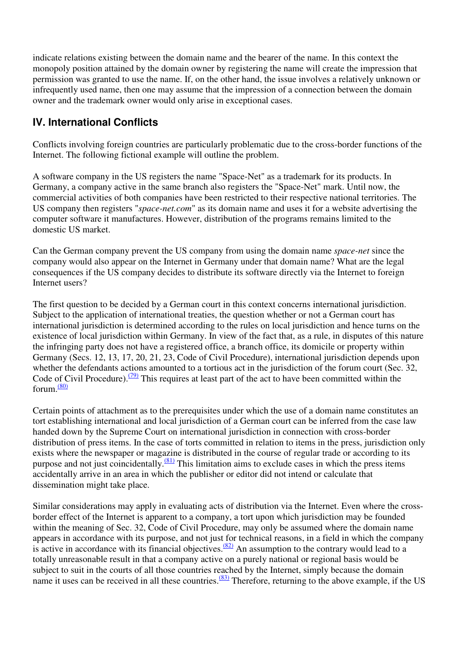indicate relations existing between the domain name and the bearer of the name. In this context the monopoly position attained by the domain owner by registering the name will create the impression that permission was granted to use the name. If, on the other hand, the issue involves a relatively unknown or infrequently used name, then one may assume that the impression of a connection between the domain owner and the trademark owner would only arise in exceptional cases.

# **IV. International Conflicts**

Conflicts involving foreign countries are particularly problematic due to the cross-border functions of the Internet. The following fictional example will outline the problem.

A software company in the US registers the name "Space-Net" as a trademark for its products. In Germany, a company active in the same branch also registers the "Space-Net" mark. Until now, the commercial activities of both companies have been restricted to their respective national territories. The US company then registers "*space-net.com*" as its domain name and uses it for a website advertising the computer software it manufactures. However, distribution of the programs remains limited to the domestic US market.

Can the German company prevent the US company from using the domain name *space-net* since the company would also appear on the Internet in Germany under that domain name? What are the legal consequences if the US company decides to distribute its software directly via the Internet to foreign Internet users?

The first question to be decided by a German court in this context concerns international jurisdiction. Subject to the application of international treaties, the question whether or not a German court has international jurisdiction is determined according to the rules on local jurisdiction and hence turns on the existence of local jurisdiction within Germany. In view of the fact that, as a rule, in disputes of this nature the infringing party does not have a registered office, a branch office, its domicile or property within Germany (Secs. 12, 13, 17, 20, 21, 23, Code of Civil Procedure), international jurisdiction depends upon whether the defendants actions amounted to a tortious act in the jurisdiction of the forum court (Sec. 32, Code of Civil Procedure).<sup>(79)</sup> This requires at least part of the act to have been committed within the forum.<sup>(80)</sup>

Certain points of attachment as to the prerequisites under which the use of a domain name constitutes an tort establishing international and local jurisdiction of a German court can be inferred from the case law handed down by the Supreme Court on international jurisdiction in connection with cross-border distribution of press items. In the case of torts committed in relation to items in the press, jurisdiction only exists where the newspaper or magazine is distributed in the course of regular trade or according to its purpose and not just coincidentally.<sup>(81)</sup> This limitation aims to exclude cases in which the press items accidentally arrive in an area in which the publisher or editor did not intend or calculate that dissemination might take place.

Similar considerations may apply in evaluating acts of distribution via the Internet. Even where the crossborder effect of the Internet is apparent to a company, a tort upon which jurisdiction may be founded within the meaning of Sec. 32, Code of Civil Procedure, may only be assumed where the domain name appears in accordance with its purpose, and not just for technical reasons, in a field in which the company is active in accordance with its financial objectives. $\frac{(82)}{2}$  An assumption to the contrary would lead to a totally unreasonable result in that a company active on a purely national or regional basis would be subject to suit in the courts of all those countries reached by the Internet, simply because the domain name it uses can be received in all these countries.  $(83)$  Therefore, returning to the above example, if the US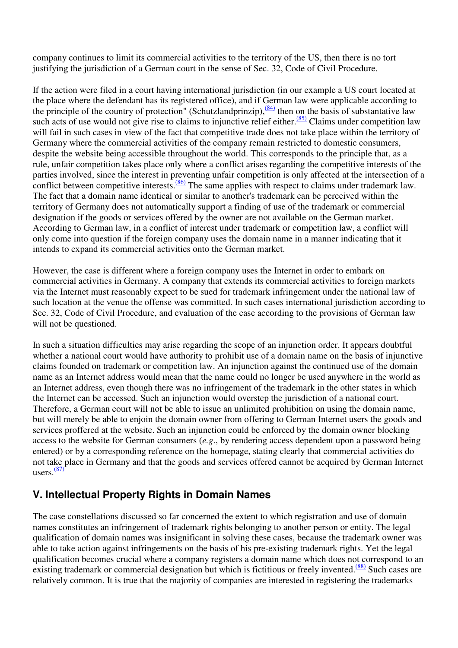company continues to limit its commercial activities to the territory of the US, then there is no tort justifying the jurisdiction of a German court in the sense of Sec. 32, Code of Civil Procedure.

If the action were filed in a court having international jurisdiction (in our example a US court located at the place where the defendant has its registered office), and if German law were applicable according to the principle of the country of protection" (Schutzlandprinzip), $\frac{(84)}{100}$  then on the basis of substantative law such acts of use would not give rise to claims to injunctive relief either. $\frac{(85)}{2}$ Claims under competition law will fail in such cases in view of the fact that competitive trade does not take place within the territory of Germany where the commercial activities of the company remain restricted to domestic consumers, despite the website being accessible throughout the world. This corresponds to the principle that, as a rule, unfair competition takes place only where a conflict arises regarding the competitive interests of the parties involved, since the interest in preventing unfair competition is only affected at the intersection of a conflict between competitive interests.<sup>(86)</sup> The same applies with respect to claims under trademark law. The fact that a domain name identical or similar to another's trademark can be perceived within the territory of Germany does not automatically support a finding of use of the trademark or commercial designation if the goods or services offered by the owner are not available on the German market. According to German law, in a conflict of interest under trademark or competition law, a conflict will only come into question if the foreign company uses the domain name in a manner indicating that it intends to expand its commercial activities onto the German market.

However, the case is different where a foreign company uses the Internet in order to embark on commercial activities in Germany. A company that extends its commercial activities to foreign markets via the Internet must reasonably expect to be sued for trademark infringement under the national law of such location at the venue the offense was committed. In such cases international jurisdiction according to Sec. 32, Code of Civil Procedure, and evaluation of the case according to the provisions of German law will not be questioned.

In such a situation difficulties may arise regarding the scope of an injunction order. It appears doubtful whether a national court would have authority to prohibit use of a domain name on the basis of injunctive claims founded on trademark or competition law. An injunction against the continued use of the domain name as an Internet address would mean that the name could no longer be used anywhere in the world as an Internet address, even though there was no infringement of the trademark in the other states in which the Internet can be accessed. Such an injunction would overstep the jurisdiction of a national court. Therefore, a German court will not be able to issue an unlimited prohibition on using the domain name, but will merely be able to enjoin the domain owner from offering to German Internet users the goods and services proffered at the website. Such an injunction could be enforced by the domain owner blocking access to the website for German consumers (*e.g*., by rendering access dependent upon a password being entered) or by a corresponding reference on the homepage, stating clearly that commercial activities do not take place in Germany and that the goods and services offered cannot be acquired by German Internet users. $\frac{(87)}{8}$ 

# **V. Intellectual Property Rights in Domain Names**

The case constellations discussed so far concerned the extent to which registration and use of domain names constitutes an infringement of trademark rights belonging to another person or entity. The legal qualification of domain names was insignificant in solving these cases, because the trademark owner was able to take action against infringements on the basis of his pre-existing trademark rights. Yet the legal qualification becomes crucial where a company registers a domain name which does not correspond to an existing trademark or commercial designation but which is fictitious or freely invented.<sup> $(88)$ </sup> Such cases are relatively common. It is true that the majority of companies are interested in registering the trademarks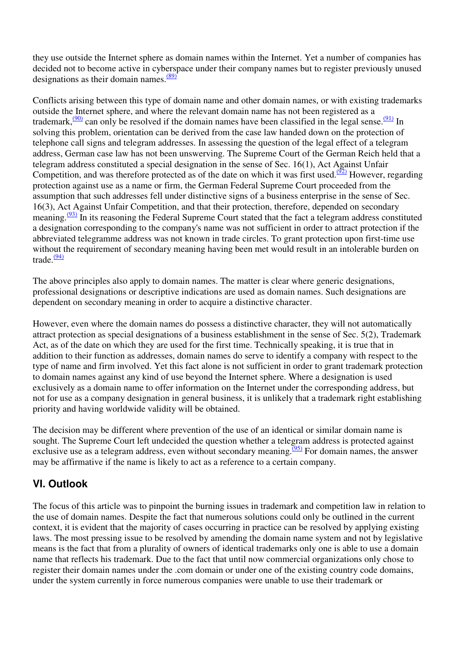they use outside the Internet sphere as domain names within the Internet. Yet a number of companies has decided not to become active in cyberspace under their company names but to register previously unused designations as their domain names. $\frac{(89)}{699}$ 

Conflicts arising between this type of domain name and other domain names, or with existing trademarks outside the Internet sphere, and where the relevant domain name has not been registered as a trademark,  $\frac{(90)}{2}$  can only be resolved if the domain names have been classified in the legal sense.  $\frac{(91)}{2}$  In solving this problem, orientation can be derived from the case law handed down on the protection of telephone call signs and telegram addresses. In assessing the question of the legal effect of a telegram address, German case law has not been unswerving. The Supreme Court of the German Reich held that a telegram address constituted a special designation in the sense of Sec. 16(1), Act Against Unfair Competition, and was therefore protected as of the date on which it was first used.<sup>( $\frac{92}{2}$ </sup> However, regarding protection against use as a name or firm, the German Federal Supreme Court proceeded from the assumption that such addresses fell under distinctive signs of a business enterprise in the sense of Sec. 16(3), Act Against Unfair Competition, and that their protection, therefore, depended on secondary meaning.<sup> $(93)$ </sup> In its reasoning the Federal Supreme Court stated that the fact a telegram address constituted a designation corresponding to the company's name was not sufficient in order to attract protection if the abbreviated telegramme address was not known in trade circles. To grant protection upon first-time use without the requirement of secondary meaning having been met would result in an intolerable burden on trade.<sup>(94)</sup>

The above principles also apply to domain names. The matter is clear where generic designations, professional designations or descriptive indications are used as domain names. Such designations are dependent on secondary meaning in order to acquire a distinctive character.

However, even where the domain names do possess a distinctive character, they will not automatically attract protection as special designations of a business establishment in the sense of Sec. 5(2), Trademark Act, as of the date on which they are used for the first time. Technically speaking, it is true that in addition to their function as addresses, domain names do serve to identify a company with respect to the type of name and firm involved. Yet this fact alone is not sufficient in order to grant trademark protection to domain names against any kind of use beyond the Internet sphere. Where a designation is used exclusively as a domain name to offer information on the Internet under the corresponding address, but not for use as a company designation in general business, it is unlikely that a trademark right establishing priority and having worldwide validity will be obtained.

The decision may be different where prevention of the use of an identical or similar domain name is sought. The Supreme Court left undecided the question whether a telegram address is protected against exclusive use as a telegram address, even without secondary meaning.<sup> $(95)$ </sup> For domain names, the answer may be affirmative if the name is likely to act as a reference to a certain company.

# **VI. Outlook**

The focus of this article was to pinpoint the burning issues in trademark and competition law in relation to the use of domain names. Despite the fact that numerous solutions could only be outlined in the current context, it is evident that the majority of cases occurring in practice can be resolved by applying existing laws. The most pressing issue to be resolved by amending the domain name system and not by legislative means is the fact that from a plurality of owners of identical trademarks only one is able to use a domain name that reflects his trademark. Due to the fact that until now commercial organizations only chose to register their domain names under the .com domain or under one of the existing country code domains, under the system currently in force numerous companies were unable to use their trademark or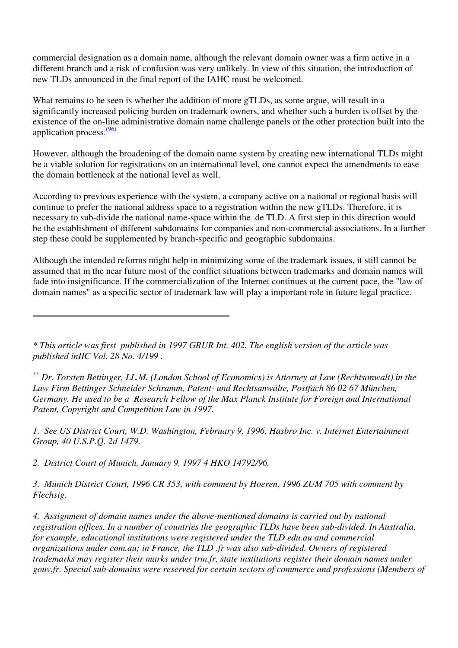commercial designation as a domain name, although the relevant domain owner was a firm active in a different branch and a risk of confusion was very unlikely. In view of this situation, the introduction of new TLDs announced in the final report of the IAHC must be welcomed.

What remains to be seen is whether the addition of more gTLDs, as some argue, will result in a significantly increased policing burden on trademark owners, and whether such a burden is offset by the existence of the on-line administrative domain name challenge panels or the other protection built into the application process.<sup>(96)</sup>

However, although the broadening of the domain name system by creating new international TLDs might be a viable solution for registrations on an international level, one cannot expect the amendments to ease the domain bottleneck at the national level as well.

According to previous experience with the system, a company active on a national or regional basis will continue to prefer the national address space to a registration within the new gTLDs. Therefore, it is necessary to sub-divide the national name-space within the .de TLD. A first step in this direction would be the establishment of different subdomains for companies and non-commercial associations. In a further step these could be supplemented by branch-specific and geographic subdomains.

Although the intended reforms might help in minimizing some of the trademark issues, it still cannot be assumed that in the near future most of the conflict situations between trademarks and domain names will fade into insignificance. If the commercialization of the Internet continues at the current pace, the "law of domain names" as a specific sector of trademark law will play a important role in future legal practice.

*\* This article was first published in 1997 GRUR Int. 402. The english version of the article was published inIIC Vol. 28 No. 4/199 .* 

*\*\* Dr. Torsten Bettinger, LL.M. (London School of Economics) is Attorney at Law (Rechtsanwalt) in the Law Firm Bettinger Schneider Schramm, Patent- und Rechtsanwälte, Postfach 86 02 67 München, Germany. He used to be a Research Fellow of the Max Planck Institute for Foreign and International Patent, Copyright and Competition Law in 1997.* 

*1. See US District Court, W.D. Washington, February 9, 1996, Hasbro Inc. v. Internet Entertainment Group, 40 U.S.P.Q. 2d 1479.*

*2. District Court of Munich, January 9, 1997 4 HKO 14792/96.*

*3. Munich District Court, 1996 CR 353, with comment by Hoeren, 1996 ZUM 705 with comment by Flechsig.*

*4. Assignment of domain names under the above-mentioned domains is carried out by national registration offices. In a number of countries the geographic TLDs have been sub-divided. In Australia, for example, educational institutions were registered under the TLD edu.au and commercial organizations under com.au; in France, the TLD .fr was also sub-divided. Owners of registered trademarks may register their marks under trm.fr, state institutions register their domain names under gouv.fr. Special sub-domains were reserved for certain sectors of commerce and professions (Members of*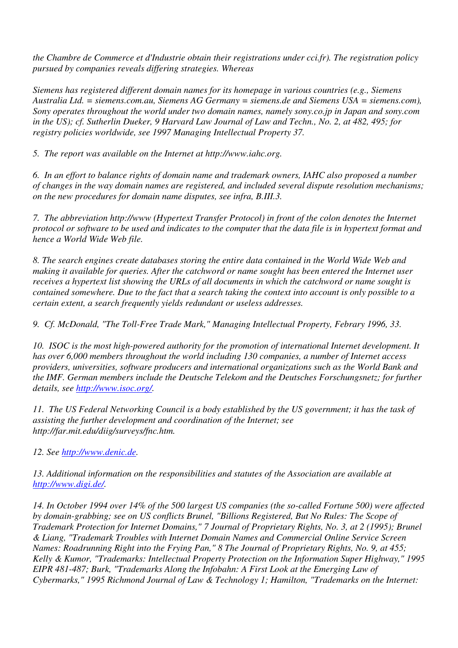*the Chambre de Commerce et d'Industrie obtain their registrations under cci.fr). The registration policy pursued by companies reveals differing strategies. Whereas*

*Siemens has registered different domain names for its homepage in various countries (e.g., Siemens Australia Ltd. = siemens.com.au, Siemens AG Germany = siemens.de and Siemens USA = siemens.com), Sony operates throughout the world under two domain names, namely sony.co.jp in Japan and sony.com in the US); cf. Sutherlin Dueker, 9 Harvard Law Journal of Law and Techn., No. 2, at 482, 495; for registry policies worldwide, see 1997 Managing Intellectual Property 37.*

*5. The report was available on the Internet at http://www.iahc.org.*

*6. In an effort to balance rights of domain name and trademark owners, IAHC also proposed a number of changes in the way domain names are registered, and included several dispute resolution mechanisms; on the new procedures for domain name disputes, see infra, B.III.3.*

*7. The abbreviation http://www (Hypertext Transfer Protocol) in front of the colon denotes the Internet protocol or software to be used and indicates to the computer that the data file is in hypertext format and hence a World Wide Web file.*

*8. The search engines create databases storing the entire data contained in the World Wide Web and making it available for queries. After the catchword or name sought has been entered the Internet user receives a hypertext list showing the URLs of all documents in which the catchword or name sought is contained somewhere. Due to the fact that a search taking the context into account is only possible to a certain extent, a search frequently yields redundant or useless addresses.*

*9. Cf. McDonald, "The Toll-Free Trade Mark," Managing Intellectual Property, Febrary 1996, 33.*

*10. ISOC is the most high-powered authority for the promotion of international Internet development. It has over 6,000 members throughout the world including 130 companies, a number of Internet access providers, universities, software producers and international organizations such as the World Bank and the IMF. German members include the Deutsche Telekom and the Deutsches Forschungsnetz; for further details, see http://www.isoc.org/.*

*11. The US Federal Networking Council is a body established by the US government; it has the task of assisting the further development and coordination of the Internet; see http://far.mit.edu/diig/surveys/fnc.htm.*

*12. See http://www.denic.de.*

*13. Additional information on the responsibilities and statutes of the Association are available at http://www.digi.de/.*

*14. In October 1994 over 14% of the 500 largest US companies (the so-called Fortune 500) were affected by domain-grabbing; see on US conflicts Brunel, "Billions Registered, But No Rules: The Scope of Trademark Protection for Internet Domains," 7 Journal of Proprietary Rights, No. 3, at 2 (1995); Brunel & Liang, "Trademark Troubles with Internet Domain Names and Commercial Online Service Screen Names: Roadrunning Right into the Frying Pan," 8 The Journal of Proprietary Rights, No. 9, at 455; Kelly & Kumor, "Trademarks: Intellectual Property Protection on the Information Super Highway," 1995 EIPR 481-487; Burk, "Trademarks Along the Infobahn: A First Look at the Emerging Law of Cybermarks," 1995 Richmond Journal of Law & Technology 1; Hamilton, "Trademarks on the Internet:*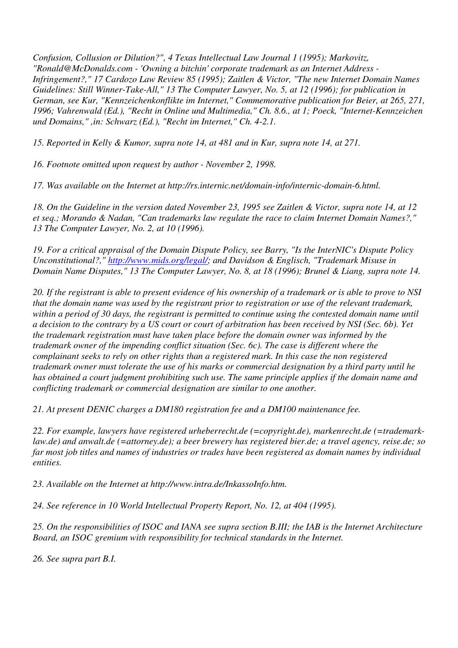*Confusion, Collusion or Dilution?", 4 Texas Intellectual Law Journal 1 (1995); Markovitz, "Ronald@McDonalds.com - 'Owning a bitchin' corporate trademark as an Internet Address - Infringement?," 17 Cardozo Law Review 85 (1995); Zaitlen & Victor, "The new Internet Domain Names Guidelines: Still Winner-Take-All," 13 The Computer Lawyer, No. 5, at 12 (1996); for publication in German, see Kur, "Kennzeichenkonflikte im Internet," Commemorative publication for Beier, at 265, 271, 1996; Vahrenwald (Ed.), "Recht in Online und Multimedia," Ch. 8.6., at 1; Poeck, "Internet-Kennzeichen und Domains," ,in: Schwarz (Ed.), "Recht im Internet," Ch. 4-2.1.*

*15. Reported in Kelly & Kumor, supra note 14, at 481 and in Kur, supra note 14, at 271.*

*16. Footnote omitted upon request by author - November 2, 1998.*

*17. Was available on the Internet at http://rs.internic.net/domain-info/internic-domain-6.html.*

*18. On the Guideline in the version dated November 23, 1995 see Zaitlen & Victor, supra note 14, at 12 et seq.; Morando & Nadan, "Can trademarks law regulate the race to claim Internet Domain Names?," 13 The Computer Lawyer, No. 2, at 10 (1996).*

*19. For a critical appraisal of the Domain Dispute Policy, see Barry, "Is the InterNIC's Dispute Policy Unconstitutional?," http://www.mids.org/legal/; and Davidson & Englisch, "Trademark Misuse in Domain Name Disputes," 13 The Computer Lawyer, No. 8, at 18 (1996); Brunel & Liang, supra note 14.*

*20. If the registrant is able to present evidence of his ownership of a trademark or is able to prove to NSI that the domain name was used by the registrant prior to registration or use of the relevant trademark, within a period of 30 days, the registrant is permitted to continue using the contested domain name until a decision to the contrary by a US court or court of arbitration has been received by NSI (Sec. 6b). Yet the trademark registration must have taken place before the domain owner was informed by the trademark owner of the impending conflict situation (Sec. 6c). The case is different where the complainant seeks to rely on other rights than a registered mark. In this case the non registered trademark owner must tolerate the use of his marks or commercial designation by a third party until he has obtained a court judgment prohibiting such use. The same principle applies if the domain name and conflicting trademark or commercial designation are similar to one another.*

*21. At present DENIC charges a DM180 registration fee and a DM100 maintenance fee.*

*22. For example, lawyers have registered urheberrecht.de (=copyright.de), markenrecht.de (=trademarklaw.de) and anwalt.de (=attorney.de); a beer brewery has registered bier.de; a travel agency, reise.de; so far most job titles and names of industries or trades have been registered as domain names by individual entities.*

*23. Available on the Internet at http://www.intra.de/InkassoInfo.htm.*

*24. See reference in 10 World Intellectual Property Report, No. 12, at 404 (1995).*

*25. On the responsibilities of ISOC and IANA see supra section B.III; the IAB is the Internet Architecture Board, an ISOC gremium with responsibility for technical standards in the Internet.*

*26. See supra part B.I.*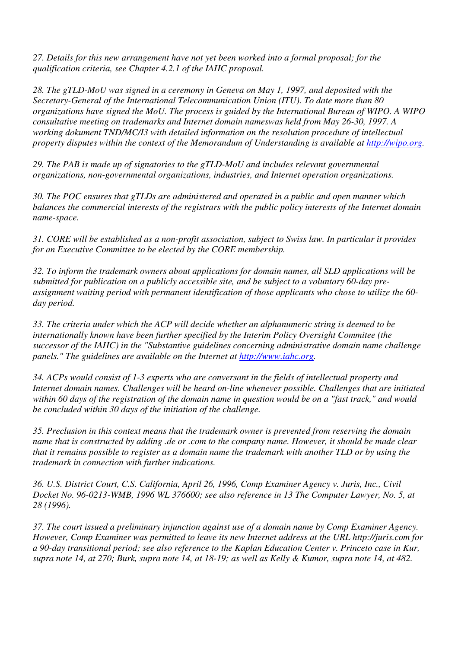*27. Details for this new arrangement have not yet been worked into a formal proposal; for the qualification criteria, see Chapter 4.2.1 of the IAHC proposal.*

*28. The gTLD-MoU was signed in a ceremony in Geneva on May 1, 1997, and deposited with the Secretary-General of the International Telecommunication Union (ITU). To date more than 80 organizations have signed the MoU. The process is guided by the International Bureau of WIPO. A WIPO consultative meeting on trademarks and Internet domain nameswas held from May 26-30, 1997. A working dokument TND/MC/I3 with detailed information on the resolution procedure of intellectual property disputes within the context of the Memorandum of Understanding is available at http://wipo.org.*

*29. The PAB is made up of signatories to the gTLD-MoU and includes relevant governmental organizations, non-governmental organizations, industries, and Internet operation organizations.*

*30. The POC ensures that gTLDs are administered and operated in a public and open manner which balances the commercial interests of the registrars with the public policy interests of the Internet domain name-space.*

*31. CORE will be established as a non-profit association, subject to Swiss law. In particular it provides for an Executive Committee to be elected by the CORE membership.*

*32. To inform the trademark owners about applications for domain names, all SLD applications will be submitted for publication on a publicly accessible site, and be subject to a voluntary 60-day preassignment waiting period with permanent identification of those applicants who chose to utilize the 60 day period.*

*33. The criteria under which the ACP will decide whether an alphanumeric string is deemed to be internationally known have been further specified by the Interim Policy Oversight Commitee (the successor of the IAHC) in the "Substantive guidelines concerning administrative domain name challenge panels." The guidelines are available on the Internet at http://www.iahc.org.*

*34. ACPs would consist of 1-3 experts who are conversant in the fields of intellectual property and Internet domain names. Challenges will be heard on-line whenever possible. Challenges that are initiated within 60 days of the registration of the domain name in question would be on a "fast track," and would be concluded within 30 days of the initiation of the challenge.*

*35. Preclusion in this context means that the trademark owner is prevented from reserving the domain name that is constructed by adding .de or .com to the company name. However, it should be made clear that it remains possible to register as a domain name the trademark with another TLD or by using the trademark in connection with further indications.*

*36. U.S. District Court, C.S. California, April 26, 1996, Comp Examiner Agency v. Juris, Inc., Civil Docket No. 96-0213-WMB, 1996 WL 376600; see also reference in 13 The Computer Lawyer, No. 5, at 28 (1996).*

*37. The court issued a preliminary injunction against use of a domain name by Comp Examiner Agency. However, Comp Examiner was permitted to leave its new Internet address at the URL http://juris.com for a 90-day transitional period; see also reference to the Kaplan Education Center v. Princeto case in Kur, supra note 14, at 270; Burk, supra note 14, at 18-19; as well as Kelly & Kumor, supra note 14, at 482.*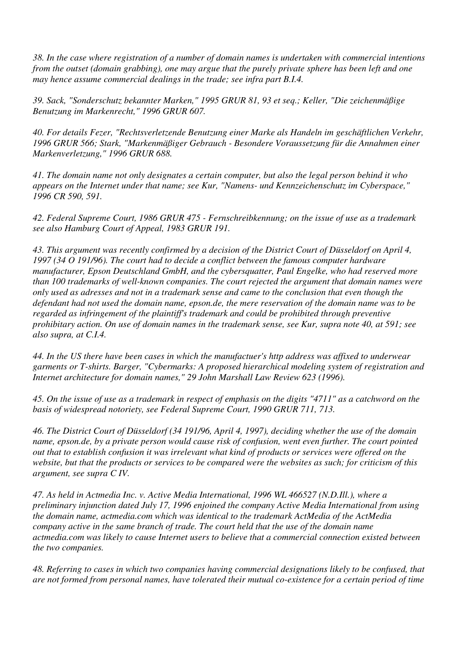*38. In the case where registration of a number of domain names is undertaken with commercial intentions from the outset (domain grabbing), one may argue that the purely private sphere has been left and one may hence assume commercial dealings in the trade; see infra part B.I.4.*

*39. Sack, "Sonderschutz bekannter Marken," 1995 GRUR 81, 93 et seq.; Keller, "Die zeichenmäßige Benutzung im Markenrecht," 1996 GRUR 607.*

*40. For details Fezer, "Rechtsverletzende Benutzung einer Marke als Handeln im geschäftlichen Verkehr, 1996 GRUR 566; Stark, "Markenmäßiger Gebrauch - Besondere Voraussetzung für die Annahmen einer Markenverletzung," 1996 GRUR 688.*

*41. The domain name not only designates a certain computer, but also the legal person behind it who appears on the Internet under that name; see Kur, "Namens- und Kennzeichenschutz im Cyberspace," 1996 CR 590, 591.*

*42. Federal Supreme Court, 1986 GRUR 475 - Fernschreibkennung; on the issue of use as a trademark see also Hamburg Court of Appeal, 1983 GRUR 191.*

*43. This argument was recently confirmed by a decision of the District Court of Düsseldorf on April 4, 1997 (34 O 191/96). The court had to decide a conflict between the famous computer hardware manufacturer, Epson Deutschland GmbH, and the cybersquatter, Paul Engelke, who had reserved more than 100 trademarks of well-known companies. The court rejected the argument that domain names were only used as adresses and not in a trademark sense and came to the conclusion that even though the defendant had not used the domain name, epson.de, the mere reservation of the domain name was to be regarded as infringement of the plaintiff's trademark and could be prohibited through preventive prohibitary action. On use of domain names in the trademark sense, see Kur, supra note 40, at 591; see also supra, at C.I.4.*

*44. In the US there have been cases in which the manufactuer's http address was affixed to underwear garments or T-shirts. Barger, "Cybermarks: A proposed hierarchical modeling system of registration and Internet architecture for domain names," 29 John Marshall Law Review 623 (1996).*

*45. On the issue of use as a trademark in respect of emphasis on the digits "4711" as a catchword on the basis of widespread notoriety, see Federal Supreme Court, 1990 GRUR 711, 713.*

*46. The District Court of Düsseldorf (34 191/96, April 4, 1997), deciding whether the use of the domain name, epson.de, by a private person would cause risk of confusion, went even further. The court pointed out that to establish confusion it was irrelevant what kind of products or services were offered on the website, but that the products or services to be compared were the websites as such; for criticism of this argument, see supra C IV.*

*47. As held in Actmedia Inc. v. Active Media International, 1996 WL 466527 (N.D.Ill.), where a preliminary injunction dated July 17, 1996 enjoined the company Active Media International from using the domain name, actmedia.com which was identical to the trademark ActMedia of the ActMedia company active in the same branch of trade. The court held that the use of the domain name actmedia.com was likely to cause Internet users to believe that a commercial connection existed between the two companies.*

*48. Referring to cases in which two companies having commercial designations likely to be confused, that are not formed from personal names, have tolerated their mutual co-existence for a certain period of time*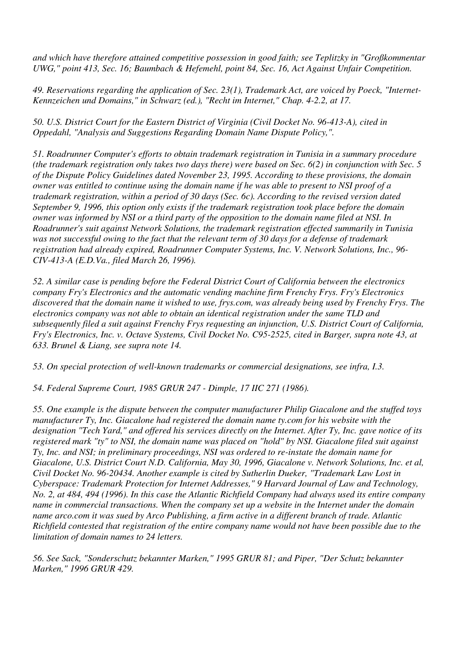*and which have therefore attained competitive possession in good faith; see Teplitzky in "Großkommentar UWG," point 413, Sec. 16; Baumbach & Hefemehl, point 84, Sec. 16, Act Against Unfair Competition.*

*49. Reservations regarding the application of Sec. 23(1), Trademark Act, are voiced by Poeck, "Internet-Kennzeichen und Domains," in Schwarz (ed.), "Recht im Internet," Chap. 4-2.2, at 17.*

*50. U.S. District Court for the Eastern District of Virginia (Civil Docket No. 96-413-A), cited in Oppedahl, "Analysis and Suggestions Regarding Domain Name Dispute Policy,".*

*51. Roadrunner Computer's efforts to obtain trademark registration in Tunisia in a summary procedure (the trademark registration only takes two days there) were based on Sec. 6(2) in conjunction with Sec. 5 of the Dispute Policy Guidelines dated November 23, 1995. According to these provisions, the domain owner was entitled to continue using the domain name if he was able to present to NSI proof of a trademark registration, within a period of 30 days (Sec. 6c). According to the revised version dated September 9, 1996, this option only exists if the trademark registration took place before the domain owner was informed by NSI or a third party of the opposition to the domain name filed at NSI. In Roadrunner's suit against Network Solutions, the trademark registration effected summarily in Tunisia was not successful owing to the fact that the relevant term of 30 days for a defense of trademark registration had already expired, Roadrunner Computer Systems, Inc. V. Network Solutions, Inc., 96- CIV-413-A (E.D.Va., filed March 26, 1996).*

*52. A similar case is pending before the Federal District Court of California between the electronics company Fry's Electronics and the automatic vending machine firm Frenchy Frys. Fry's Electronics discovered that the domain name it wished to use, frys.com, was already being used by Frenchy Frys. The electronics company was not able to obtain an identical registration under the same TLD and subsequently filed a suit against Frenchy Frys requesting an injunction, U.S. District Court of California, Fry's Electronics, Inc. v. Octave Systems, Civil Docket No. C95-2525, cited in Barger, supra note 43, at 633. Brunel & Liang, see supra note 14.*

*53. On special protection of well-known trademarks or commercial designations, see infra, I.3.*

*54. Federal Supreme Court, 1985 GRUR 247 - Dimple, 17 IIC 271 (1986).*

*55. One example is the dispute between the computer manufacturer Philip Giacalone and the stuffed toys manufacturer Ty, Inc. Giacalone had registered the domain name ty.com for his website with the designation "Tech Yard," and offered his services directly on the Internet. After Ty, Inc. gave notice of its registered mark "ty" to NSI, the domain name was placed on "hold" by NSI. Giacalone filed suit against Ty, Inc. and NSI; in preliminary proceedings, NSI was ordered to re-instate the domain name for Giacalone, U.S. District Court N.D. California, May 30, 1996, Giacalone v. Network Solutions, Inc. et al, Civil Docket No. 96-20434. Another example is cited by Sutherlin Dueker, "Trademark Law Lost in Cyberspace: Trademark Protection for Internet Addresses," 9 Harvard Journal of Law and Technology, No. 2, at 484, 494 (1996). In this case the Atlantic Richfield Company had always used its entire company name in commercial transactions. When the company set up a website in the Internet under the domain name arco.com it was sued by Arco Publishing, a firm active in a different branch of trade. Atlantic Richfield contested that registration of the entire company name would not have been possible due to the limitation of domain names to 24 letters.*

*56. See Sack, "Sonderschutz bekannter Marken," 1995 GRUR 81; and Piper, "Der Schutz bekannter Marken," 1996 GRUR 429.*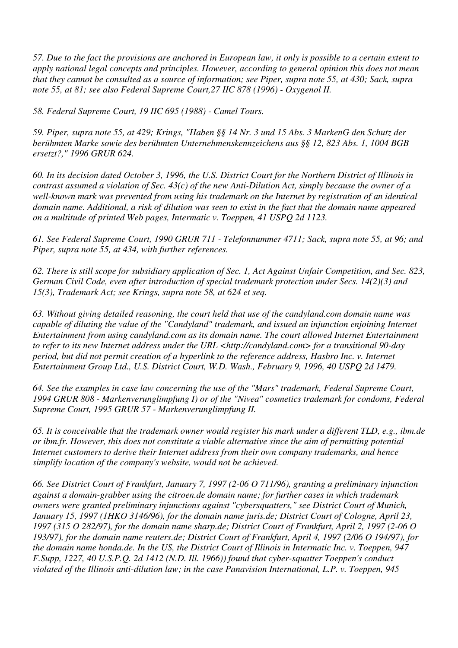*57. Due to the fact the provisions are anchored in European law, it only is possible to a certain extent to apply national legal concepts and principles. However, according to general opinion this does not mean that they cannot be consulted as a source of information; see Piper, supra note 55, at 430; Sack, supra note 55, at 81; see also Federal Supreme Court,27 IIC 878 (1996) - Oxygenol II.*

*58. Federal Supreme Court, 19 IIC 695 (1988) - Camel Tours.*

*59. Piper, supra note 55, at 429; Krings, "Haben §§ 14 Nr. 3 und 15 Abs. 3 MarkenG den Schutz der berühmten Marke sowie des berühmten Unternehmenskennzeichens aus §§ 12, 823 Abs. 1, 1004 BGB ersetzt?," 1996 GRUR 624.*

*60. In its decision dated October 3, 1996, the U.S. District Court for the Northern District of Illinois in contrast assumed a violation of Sec. 43(c) of the new Anti-Dilution Act, simply because the owner of a well-known mark was prevented from using his trademark on the Internet by registration of an identical domain name. Additional, a risk of dilution was seen to exist in the fact that the domain name appeared on a multitude of printed Web pages, Intermatic v. Toeppen, 41 USPQ 2d 1123.*

*61. See Federal Supreme Court, 1990 GRUR 711 - Telefonnummer 4711; Sack, supra note 55, at 96; and Piper, supra note 55, at 434, with further references.*

*62. There is still scope for subsidiary application of Sec. 1, Act Against Unfair Competition, and Sec. 823, German Civil Code, even after introduction of special trademark protection under Secs. 14(2)(3) and 15(3), Trademark Act; see Krings, supra note 58, at 624 et seq.*

*63. Without giving detailed reasoning, the court held that use of the candyland.com domain name was capable of diluting the value of the "Candyland" trademark, and issued an injunction enjoining Internet Entertainment from using candyland.com as its domain name. The court allowed Internet Entertainment to refer to its new Internet address under the URL <http://candyland.com> for a transitional 90-day period, but did not permit creation of a hyperlink to the reference address, Hasbro Inc. v. Internet Entertainment Group Ltd., U.S. District Court, W.D. Wash., February 9, 1996, 40 USPQ 2d 1479.*

*64. See the examples in case law concerning the use of the "Mars" trademark, Federal Supreme Court, 1994 GRUR 808 - Markenverunglimpfung I) or of the "Nivea" cosmetics trademark for condoms, Federal Supreme Court, 1995 GRUR 57 - Markenverunglimpfung II.*

*65. It is conceivable that the trademark owner would register his mark under a different TLD, e.g., ibm.de or ibm.fr. However, this does not constitute a viable alternative since the aim of permitting potential Internet customers to derive their Internet address from their own company trademarks, and hence simplify location of the company's website, would not be achieved.*

*66. See District Court of Frankfurt, January 7, 1997 (2-06 O 711/96), granting a preliminary injunction against a domain-grabber using the citroen.de domain name; for further cases in which trademark owners were granted preliminary injunctions against "cybersquatters," see District Court of Munich, January 15, 1997 (1HKO 3146/96), for the domain name juris.de; District Court of Cologne, April 23, 1997 (315 O 282/97), for the domain name sharp.de; District Court of Frankfurt, April 2, 1997 (2-06 O 193/97), for the domain name reuters.de; District Court of Frankfurt, April 4, 1997 (2/06 O 194/97), for the domain name honda.de. In the US, the District Court of Illinois in Intermatic Inc. v. Toeppen, 947 F.Supp, 1227, 40 U.S.P.Q. 2d 1412 (N.D. Ill. 1966)) found that cyber-squatter Toeppen's conduct violated of the Illinois anti-dilution law; in the case Panavision International, L.P. v. Toeppen, 945*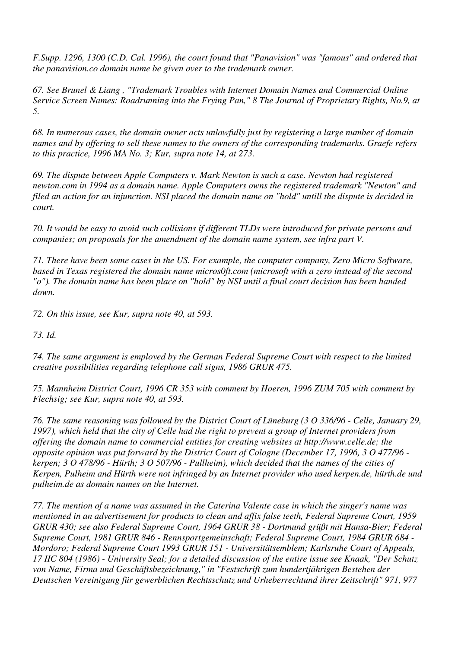*F.Supp. 1296, 1300 (C.D. Cal. 1996), the court found that "Panavision" was "famous" and ordered that the panavision.co domain name be given over to the trademark owner.*

*67. See Brunel & Liang , "Trademark Troubles with Internet Domain Names and Commercial Online Service Screen Names: Roadrunning into the Frying Pan," 8 The Journal of Proprietary Rights, No.9, at 5.*

*68. In numerous cases, the domain owner acts unlawfully just by registering a large number of domain names and by offering to sell these names to the owners of the corresponding trademarks. Graefe refers to this practice, 1996 MA No. 3; Kur, supra note 14, at 273.*

*69. The dispute between Apple Computers v. Mark Newton is such a case. Newton had registered newton.com in 1994 as a domain name. Apple Computers owns the registered trademark "Newton" and filed an action for an injunction. NSI placed the domain name on "hold" untill the dispute is decided in court.*

*70. It would be easy to avoid such collisions if different TLDs were introduced for private persons and companies; on proposals for the amendment of the domain name system, see infra part V.*

*71. There have been some cases in the US. For example, the computer company, Zero Micro Software, based in Texas registered the domain name micros0ft.com (microsoft with a zero instead of the second "o"). The domain name has been place on "hold" by NSI until a final court decision has been handed down.*

*72. On this issue, see Kur, supra note 40, at 593.*

*73. Id.*

*74. The same argument is employed by the German Federal Supreme Court with respect to the limited creative possibilities regarding telephone call signs, 1986 GRUR 475.*

*75. Mannheim District Court, 1996 CR 353 with comment by Hoeren, 1996 ZUM 705 with comment by Flechsig; see Kur, supra note 40, at 593.*

*76. The same reasoning was followed by the District Court of Lüneburg (3 O 336/96 - Celle, January 29, 1997), which held that the city of Celle had the right to prevent a group of Internet providers from offering the domain name to commercial entities for creating websites at http://www.celle.de; the opposite opinion was put forward by the District Court of Cologne (December 17, 1996, 3 O 477/96 kerpen; 3 O 478/96 - Hürth; 3 O 507/96 - Pullheim), which decided that the names of the cities of Kerpen, Pulheim and Hürth were not infringed by an Internet provider who used kerpen.de, hürth.de und pulheim.de as domain names on the Internet.*

*77. The mention of a name was assumed in the Caterina Valente case in which the singer's name was mentioned in an advertisement for products to clean and affix false teeth, Federal Supreme Court, 1959 GRUR 430; see also Federal Supreme Court, 1964 GRUR 38 - Dortmund grüßt mit Hansa-Bier; Federal Supreme Court, 1981 GRUR 846 - Rennsportgemeinschaft; Federal Supreme Court, 1984 GRUR 684 - Mordoro; Federal Supreme Court 1993 GRUR 151 - Universitätsemblem; Karlsruhe Court of Appeals, 17 IIC 804 (1986) - University Seal; for a detailed discussion of the entire issue see Knaak, "Der Schutz von Name, Firma und Geschäftsbezeichnung," in "Festschrift zum hundertjährigen Bestehen der Deutschen Vereinigung für gewerblichen Rechtsschutz und Urheberrechtund ihrer Zeitschrift" 971, 977*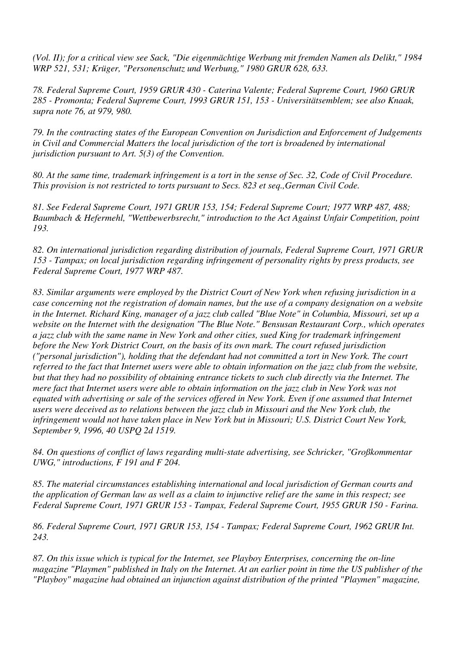*(Vol. II); for a critical view see Sack, "Die eigenmächtige Werbung mit fremden Namen als Delikt," 1984 WRP 521, 531; Krüger, "Personenschutz und Werbung," 1980 GRUR 628, 633.*

*78. Federal Supreme Court, 1959 GRUR 430 - Caterina Valente; Federal Supreme Court, 1960 GRUR 285 - Promonta; Federal Supreme Court, 1993 GRUR 151, 153 - Universitätsemblem; see also Knaak, supra note 76, at 979, 980.*

*79. In the contracting states of the European Convention on Jurisdiction and Enforcement of Judgements in Civil and Commercial Matters the local jurisdiction of the tort is broadened by international jurisdiction pursuant to Art. 5(3) of the Convention.*

*80. At the same time, trademark infringement is a tort in the sense of Sec. 32, Code of Civil Procedure. This provision is not restricted to torts pursuant to Secs. 823 et seq.,German Civil Code.*

*81. See Federal Supreme Court, 1971 GRUR 153, 154; Federal Supreme Court; 1977 WRP 487, 488; Baumbach & Hefermehl, "Wettbewerbsrecht," introduction to the Act Against Unfair Competition, point 193.*

*82. On international jurisdiction regarding distribution of journals, Federal Supreme Court, 1971 GRUR 153 - Tampax; on local jurisdiction regarding infringement of personality rights by press products, see Federal Supreme Court, 1977 WRP 487.*

*83. Similar arguments were employed by the District Court of New York when refusing jurisdiction in a case concerning not the registration of domain names, but the use of a company designation on a website in the Internet. Richard King, manager of a jazz club called "Blue Note" in Columbia, Missouri, set up a website on the Internet with the designation "The Blue Note." Bensusan Restaurant Corp., which operates a jazz club with the same name in New York and other cities, sued King for trademark infringement before the New York District Court, on the basis of its own mark. The court refused jurisdiction ("personal jurisdiction"), holding that the defendant had not committed a tort in New York. The court referred to the fact that Internet users were able to obtain information on the jazz club from the website, but that they had no possibility of obtaining entrance tickets to such club directly via the Internet. The mere fact that Internet users were able to obtain information on the jazz club in New York was not equated with advertising or sale of the services offered in New York. Even if one assumed that Internet users were deceived as to relations between the jazz club in Missouri and the New York club, the infringement would not have taken place in New York but in Missouri; U.S. District Court New York, September 9, 1996, 40 USPQ 2d 1519.*

*84. On questions of conflict of laws regarding multi-state advertising, see Schricker, "Großkommentar UWG," introductions, F 191 and F 204.*

*85. The material circumstances establishing international and local jurisdiction of German courts and the application of German law as well as a claim to injunctive relief are the same in this respect; see Federal Supreme Court, 1971 GRUR 153 - Tampax, Federal Supreme Court, 1955 GRUR 150 - Farina.*

*86. Federal Supreme Court, 1971 GRUR 153, 154 - Tampax; Federal Supreme Court, 1962 GRUR Int. 243.*

*87. On this issue which is typical for the Internet, see Playboy Enterprises, concerning the on-line magazine "Playmen" published in Italy on the Internet. At an earlier point in time the US publisher of the "Playboy" magazine had obtained an injunction against distribution of the printed "Playmen" magazine,*